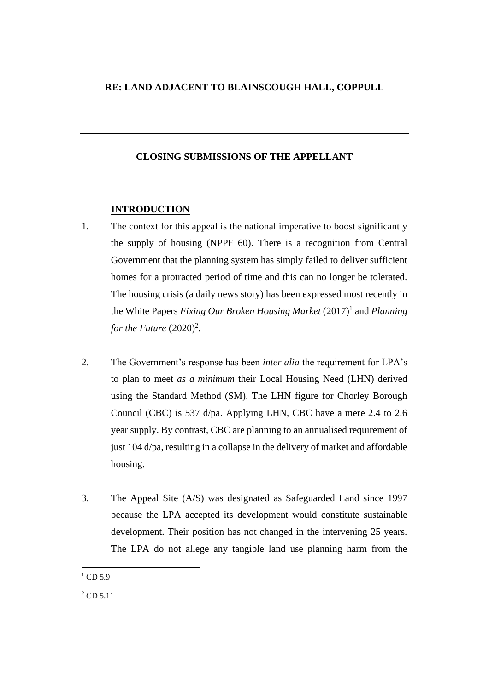# **RE: LAND ADJACENT TO BLAINSCOUGH HALL, COPPULL**

# **CLOSING SUBMISSIONS OF THE APPELLANT**

## **INTRODUCTION**

- 1. The context for this appeal is the national imperative to boost significantly the supply of housing (NPPF 60). There is a recognition from Central Government that the planning system has simply failed to deliver sufficient homes for a protracted period of time and this can no longer be tolerated. The housing crisis (a daily news story) has been expressed most recently in the White Papers *Fixing Our Broken Housing Market* (2017)<sup>1</sup> and *Planning* for the Future  $(2020)^2$ .
- 2. The Government's response has been *inter alia* the requirement for LPA's to plan to meet *as a minimum* their Local Housing Need (LHN) derived using the Standard Method (SM). The LHN figure for Chorley Borough Council (CBC) is 537 d/pa. Applying LHN, CBC have a mere 2.4 to 2.6 year supply. By contrast, CBC are planning to an annualised requirement of just 104 d/pa, resulting in a collapse in the delivery of market and affordable housing.
- 3. The Appeal Site (A/S) was designated as Safeguarded Land since 1997 because the LPA accepted its development would constitute sustainable development. Their position has not changed in the intervening 25 years. The LPA do not allege any tangible land use planning harm from the

 $1$  CD 5.9

<sup>2</sup> CD 5.11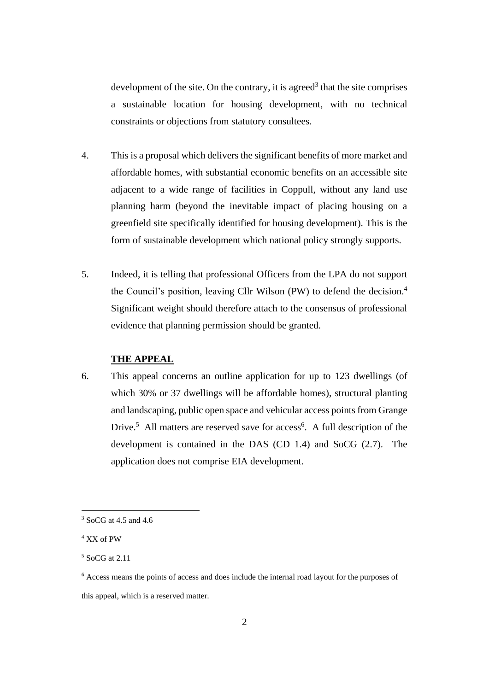development of the site. On the contrary, it is agreed<sup>3</sup> that the site comprises a sustainable location for housing development, with no technical constraints or objections from statutory consultees.

- 4. This is a proposal which delivers the significant benefits of more market and affordable homes, with substantial economic benefits on an accessible site adjacent to a wide range of facilities in Coppull, without any land use planning harm (beyond the inevitable impact of placing housing on a greenfield site specifically identified for housing development). This is the form of sustainable development which national policy strongly supports.
- 5. Indeed, it is telling that professional Officers from the LPA do not support the Council's position, leaving Cllr Wilson (PW) to defend the decision. 4 Significant weight should therefore attach to the consensus of professional evidence that planning permission should be granted.

# **THE APPEAL**

6. This appeal concerns an outline application for up to 123 dwellings (of which 30% or 37 dwellings will be affordable homes), structural planting and landscaping, public open space and vehicular access points from Grange Drive.<sup>5</sup> All matters are reserved save for access<sup>6</sup>. A full description of the development is contained in the DAS (CD 1.4) and SoCG (2.7). The application does not comprise EIA development.

 $3$  SoCG at 4.5 and 4.6

<sup>4</sup> XX of PW

<sup>5</sup> SoCG at 2.11

<sup>6</sup> Access means the points of access and does include the internal road layout for the purposes of this appeal, which is a reserved matter.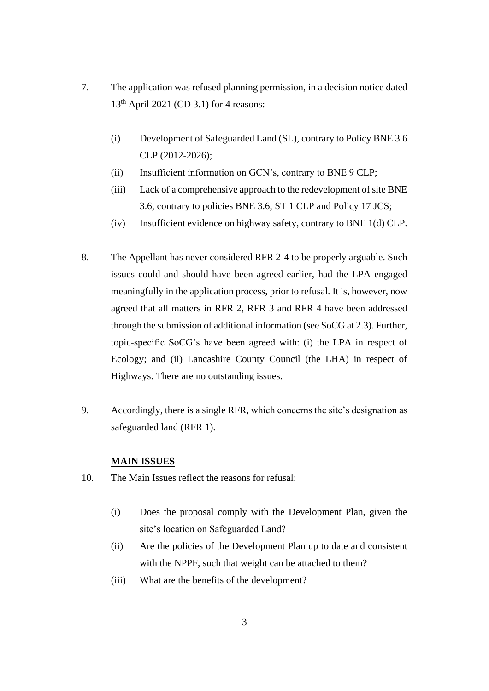- 7. The application was refused planning permission, in a decision notice dated 13 th April 2021 (CD 3.1) for 4 reasons:
	- (i) Development of Safeguarded Land (SL), contrary to Policy BNE 3.6 CLP (2012-2026);
	- (ii) Insufficient information on GCN's, contrary to BNE 9 CLP;
	- (iii) Lack of a comprehensive approach to the redevelopment of site BNE 3.6, contrary to policies BNE 3.6, ST 1 CLP and Policy 17 JCS;
	- (iv) Insufficient evidence on highway safety, contrary to BNE 1(d) CLP.
- 8. The Appellant has never considered RFR 2-4 to be properly arguable. Such issues could and should have been agreed earlier, had the LPA engaged meaningfully in the application process, prior to refusal. It is, however, now agreed that all matters in RFR 2, RFR 3 and RFR 4 have been addressed through the submission of additional information (see SoCG at 2.3). Further, topic-specific SoCG's have been agreed with: (i) the LPA in respect of Ecology; and (ii) Lancashire County Council (the LHA) in respect of Highways. There are no outstanding issues.
- 9. Accordingly, there is a single RFR, which concerns the site's designation as safeguarded land (RFR 1).

## **MAIN ISSUES**

- 10. The Main Issues reflect the reasons for refusal:
	- (i) Does the proposal comply with the Development Plan, given the site's location on Safeguarded Land?
	- (ii) Are the policies of the Development Plan up to date and consistent with the NPPF, such that weight can be attached to them?
	- (iii) What are the benefits of the development?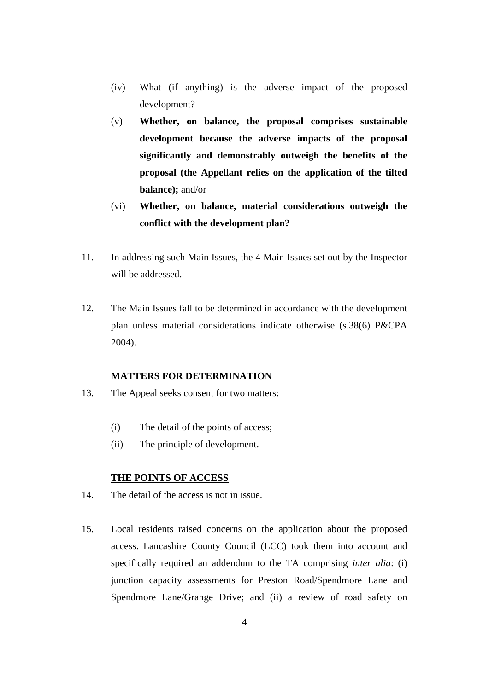- (iv) What (if anything) is the adverse impact of the proposed development?
- (v) **Whether, on balance, the proposal comprises sustainable development because the adverse impacts of the proposal significantly and demonstrably outweigh the benefits of the proposal (the Appellant relies on the application of the tilted balance);** and/or
- (vi) **Whether, on balance, material considerations outweigh the conflict with the development plan?**
- 11. In addressing such Main Issues, the 4 Main Issues set out by the Inspector will be addressed.
- 12. The Main Issues fall to be determined in accordance with the development plan unless material considerations indicate otherwise (s.38(6) P&CPA 2004).

## **MATTERS FOR DETERMINATION**

- 13. The Appeal seeks consent for two matters:
	- (i) The detail of the points of access;
	- (ii) The principle of development.

# **THE POINTS OF ACCESS**

- 14. The detail of the access is not in issue.
- 15. Local residents raised concerns on the application about the proposed access. Lancashire County Council (LCC) took them into account and specifically required an addendum to the TA comprising *inter alia*: (i) junction capacity assessments for Preston Road/Spendmore Lane and Spendmore Lane/Grange Drive; and (ii) a review of road safety on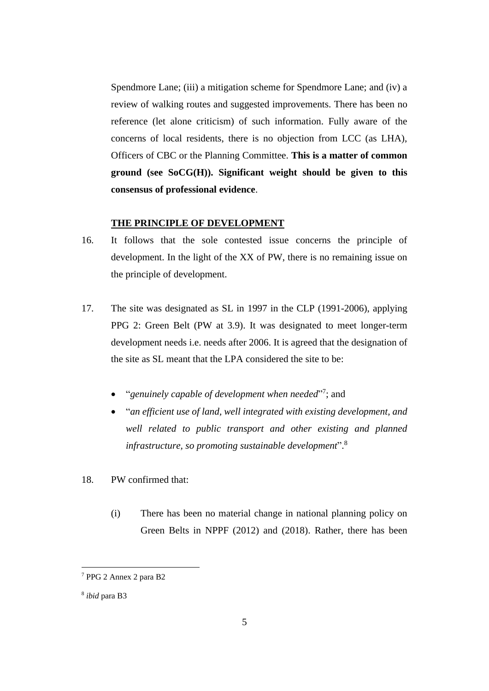Spendmore Lane; (iii) a mitigation scheme for Spendmore Lane; and (iv) a review of walking routes and suggested improvements. There has been no reference (let alone criticism) of such information. Fully aware of the concerns of local residents, there is no objection from LCC (as LHA), Officers of CBC or the Planning Committee. **This is a matter of common ground (see SoCG(H)). Significant weight should be given to this consensus of professional evidence**.

#### **THE PRINCIPLE OF DEVELOPMENT**

- 16. It follows that the sole contested issue concerns the principle of development. In the light of the XX of PW, there is no remaining issue on the principle of development.
- 17. The site was designated as SL in 1997 in the CLP (1991-2006), applying PPG 2: Green Belt (PW at 3.9). It was designated to meet longer-term development needs i.e. needs after 2006. It is agreed that the designation of the site as SL meant that the LPA considered the site to be:
	- "genuinely capable of development when needed"<sup>7</sup>; and
	- "*an efficient use of land, well integrated with existing development, and well related to public transport and other existing and planned infrastructure, so promoting sustainable development*". 8
- 18. PW confirmed that:
	- (i) There has been no material change in national planning policy on Green Belts in NPPF (2012) and (2018). Rather, there has been

<sup>7</sup> PPG 2 Annex 2 para B2

<sup>8</sup> *ibid* para B3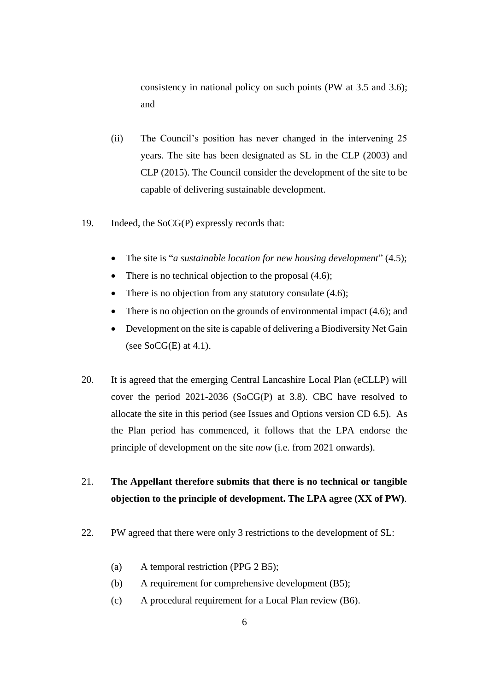consistency in national policy on such points (PW at 3.5 and 3.6); and

- (ii) The Council's position has never changed in the intervening 25 years. The site has been designated as SL in the CLP (2003) and CLP (2015). The Council consider the development of the site to be capable of delivering sustainable development.
- 19. Indeed, the SoCG(P) expressly records that:
	- The site is "*a sustainable location for new housing development*" (4.5);
	- There is no technical objection to the proposal  $(4.6)$ ;
	- There is no objection from any statutory consulate (4.6);
	- There is no objection on the grounds of environmental impact (4.6); and
	- Development on the site is capable of delivering a Biodiversity Net Gain (see  $SocG(E)$  at 4.1).
- 20. It is agreed that the emerging Central Lancashire Local Plan (eCLLP) will cover the period 2021-2036 (SoCG(P) at 3.8). CBC have resolved to allocate the site in this period (see Issues and Options version CD 6.5). As the Plan period has commenced, it follows that the LPA endorse the principle of development on the site *now* (i.e. from 2021 onwards).

# 21. **The Appellant therefore submits that there is no technical or tangible objection to the principle of development. The LPA agree (XX of PW)**.

- 22. PW agreed that there were only 3 restrictions to the development of SL:
	- (a) A temporal restriction (PPG 2 B5);
	- (b) A requirement for comprehensive development (B5);
	- (c) A procedural requirement for a Local Plan review (B6).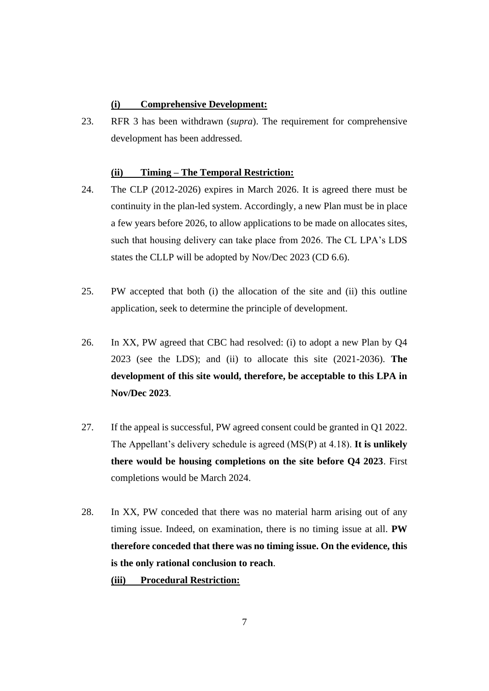## **(i) Comprehensive Development:**

23. RFR 3 has been withdrawn (*supra*). The requirement for comprehensive development has been addressed.

#### **(ii) Timing – The Temporal Restriction:**

- 24. The CLP (2012-2026) expires in March 2026. It is agreed there must be continuity in the plan-led system. Accordingly, a new Plan must be in place a few years before 2026, to allow applications to be made on allocates sites, such that housing delivery can take place from 2026. The CL LPA's LDS states the CLLP will be adopted by Nov/Dec 2023 (CD 6.6).
- 25. PW accepted that both (i) the allocation of the site and (ii) this outline application, seek to determine the principle of development.
- 26. In XX, PW agreed that CBC had resolved: (i) to adopt a new Plan by Q4 2023 (see the LDS); and (ii) to allocate this site (2021-2036). **The development of this site would, therefore, be acceptable to this LPA in Nov/Dec 2023**.
- 27. If the appeal is successful, PW agreed consent could be granted in Q1 2022. The Appellant's delivery schedule is agreed (MS(P) at 4.18). **It is unlikely there would be housing completions on the site before Q4 2023**. First completions would be March 2024.
- 28. In XX, PW conceded that there was no material harm arising out of any timing issue. Indeed, on examination, there is no timing issue at all. **PW therefore conceded that there was no timing issue. On the evidence, this is the only rational conclusion to reach**.

**(iii) Procedural Restriction:**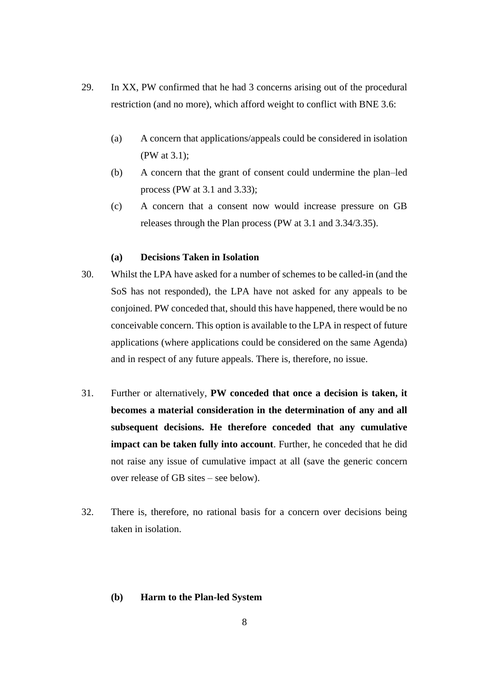- 29. In XX, PW confirmed that he had 3 concerns arising out of the procedural restriction (and no more), which afford weight to conflict with BNE 3.6:
	- (a) A concern that applications/appeals could be considered in isolation (PW at 3.1);
	- (b) A concern that the grant of consent could undermine the plan–led process (PW at 3.1 and 3.33);
	- (c) A concern that a consent now would increase pressure on GB releases through the Plan process (PW at 3.1 and 3.34/3.35).

## **(a) Decisions Taken in Isolation**

- 30. Whilst the LPA have asked for a number of schemes to be called-in (and the SoS has not responded), the LPA have not asked for any appeals to be conjoined. PW conceded that, should this have happened, there would be no conceivable concern. This option is available to the LPA in respect of future applications (where applications could be considered on the same Agenda) and in respect of any future appeals. There is, therefore, no issue.
- 31. Further or alternatively, **PW conceded that once a decision is taken, it becomes a material consideration in the determination of any and all subsequent decisions. He therefore conceded that any cumulative impact can be taken fully into account**. Further, he conceded that he did not raise any issue of cumulative impact at all (save the generic concern over release of GB sites – see below).
- 32. There is, therefore, no rational basis for a concern over decisions being taken in isolation.

## **(b) Harm to the Plan-led System**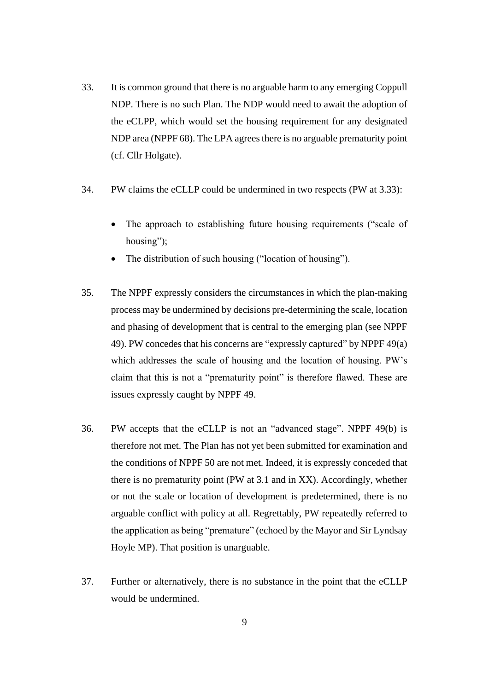- 33. It is common ground that there is no arguable harm to any emerging Coppull NDP. There is no such Plan. The NDP would need to await the adoption of the eCLPP, which would set the housing requirement for any designated NDP area (NPPF 68). The LPA agrees there is no arguable prematurity point (cf. Cllr Holgate).
- 34. PW claims the eCLLP could be undermined in two respects (PW at 3.33):
	- The approach to establishing future housing requirements ("scale of housing");
	- The distribution of such housing ("location of housing").
- 35. The NPPF expressly considers the circumstances in which the plan-making process may be undermined by decisions pre-determining the scale, location and phasing of development that is central to the emerging plan (see NPPF 49). PW concedes that his concerns are "expressly captured" by NPPF 49(a) which addresses the scale of housing and the location of housing. PW's claim that this is not a "prematurity point" is therefore flawed. These are issues expressly caught by NPPF 49.
- 36. PW accepts that the eCLLP is not an "advanced stage". NPPF 49(b) is therefore not met. The Plan has not yet been submitted for examination and the conditions of NPPF 50 are not met. Indeed, it is expressly conceded that there is no prematurity point (PW at 3.1 and in XX). Accordingly, whether or not the scale or location of development is predetermined, there is no arguable conflict with policy at all. Regrettably, PW repeatedly referred to the application as being "premature" (echoed by the Mayor and Sir Lyndsay Hoyle MP). That position is unarguable.
- 37. Further or alternatively, there is no substance in the point that the eCLLP would be undermined.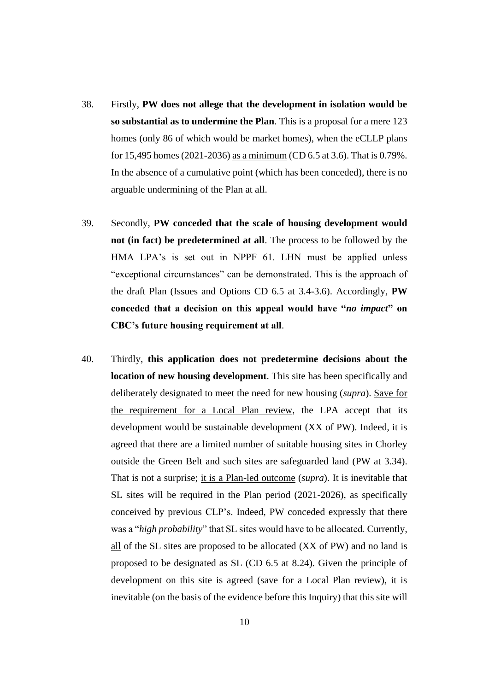- 38. Firstly, **PW does not allege that the development in isolation would be so substantial as to undermine the Plan**. This is a proposal for a mere 123 homes (only 86 of which would be market homes), when the eCLLP plans for 15,495 homes (2021-2036) as a minimum (CD 6.5 at 3.6). That is 0.79%. In the absence of a cumulative point (which has been conceded), there is no arguable undermining of the Plan at all.
- 39. Secondly, **PW conceded that the scale of housing development would not (in fact) be predetermined at all**. The process to be followed by the HMA LPA's is set out in NPPF 61. LHN must be applied unless "exceptional circumstances" can be demonstrated. This is the approach of the draft Plan (Issues and Options CD 6.5 at 3.4-3.6). Accordingly, **PW conceded that a decision on this appeal would have "***no impact***" on CBC's future housing requirement at all**.
- 40. Thirdly, **this application does not predetermine decisions about the location of new housing development**. This site has been specifically and deliberately designated to meet the need for new housing (*supra*). Save for the requirement for a Local Plan review, the LPA accept that its development would be sustainable development (XX of PW). Indeed, it is agreed that there are a limited number of suitable housing sites in Chorley outside the Green Belt and such sites are safeguarded land (PW at 3.34). That is not a surprise; it is a Plan-led outcome (*supra*). It is inevitable that SL sites will be required in the Plan period (2021-2026), as specifically conceived by previous CLP's. Indeed, PW conceded expressly that there was a "*high probability*" that SL sites would have to be allocated. Currently, all of the SL sites are proposed to be allocated (XX of PW) and no land is proposed to be designated as SL (CD 6.5 at 8.24). Given the principle of development on this site is agreed (save for a Local Plan review), it is inevitable (on the basis of the evidence before this Inquiry) that this site will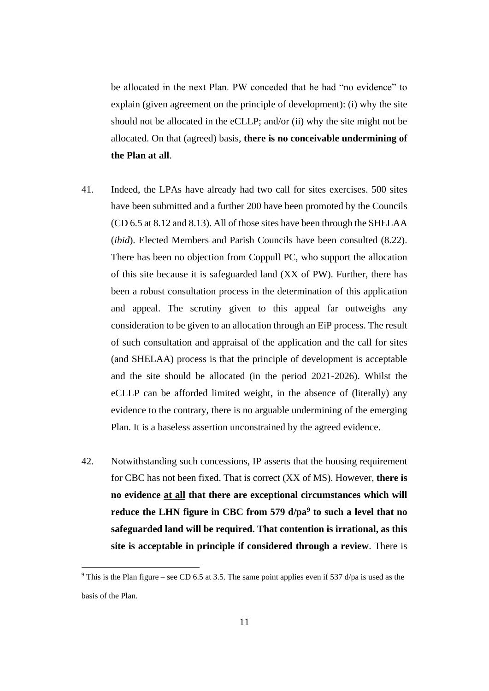be allocated in the next Plan. PW conceded that he had "no evidence" to explain (given agreement on the principle of development): (i) why the site should not be allocated in the eCLLP; and/or (ii) why the site might not be allocated. On that (agreed) basis, **there is no conceivable undermining of the Plan at all**.

- 41. Indeed, the LPAs have already had two call for sites exercises. 500 sites have been submitted and a further 200 have been promoted by the Councils (CD 6.5 at 8.12 and 8.13). All of those sites have been through the SHELAA (*ibid*). Elected Members and Parish Councils have been consulted (8.22). There has been no objection from Coppull PC, who support the allocation of this site because it is safeguarded land (XX of PW). Further, there has been a robust consultation process in the determination of this application and appeal. The scrutiny given to this appeal far outweighs any consideration to be given to an allocation through an EiP process. The result of such consultation and appraisal of the application and the call for sites (and SHELAA) process is that the principle of development is acceptable and the site should be allocated (in the period 2021-2026). Whilst the eCLLP can be afforded limited weight, in the absence of (literally) any evidence to the contrary, there is no arguable undermining of the emerging Plan. It is a baseless assertion unconstrained by the agreed evidence.
- 42. Notwithstanding such concessions, IP asserts that the housing requirement for CBC has not been fixed. That is correct (XX of MS). However, **there is no evidence at all that there are exceptional circumstances which will reduce the LHN figure in CBC from 579 d/pa<sup>9</sup> to such a level that no safeguarded land will be required. That contention is irrational, as this site is acceptable in principle if considered through a review**. There is

<sup>&</sup>lt;sup>9</sup> This is the Plan figure – see CD 6.5 at 3.5. The same point applies even if 537 d/pa is used as the basis of the Plan.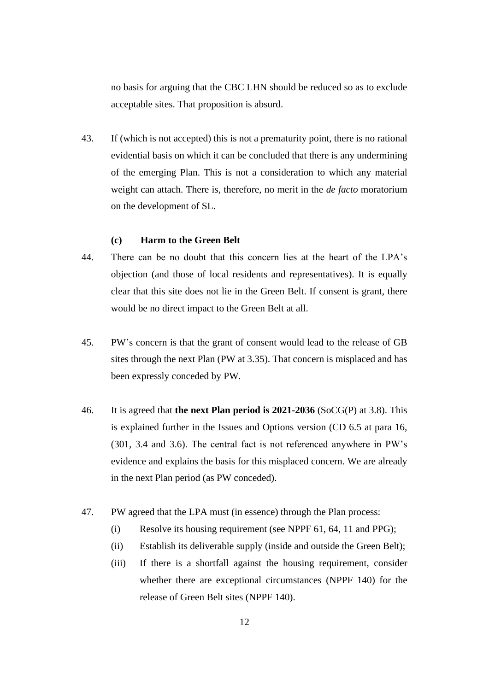no basis for arguing that the CBC LHN should be reduced so as to exclude acceptable sites. That proposition is absurd.

43. If (which is not accepted) this is not a prematurity point, there is no rational evidential basis on which it can be concluded that there is any undermining of the emerging Plan. This is not a consideration to which any material weight can attach. There is, therefore, no merit in the *de facto* moratorium on the development of SL.

# **(c) Harm to the Green Belt**

- 44. There can be no doubt that this concern lies at the heart of the LPA's objection (and those of local residents and representatives). It is equally clear that this site does not lie in the Green Belt. If consent is grant, there would be no direct impact to the Green Belt at all.
- 45. PW's concern is that the grant of consent would lead to the release of GB sites through the next Plan (PW at 3.35). That concern is misplaced and has been expressly conceded by PW.
- 46. It is agreed that **the next Plan period is 2021-2036** (SoCG(P) at 3.8). This is explained further in the Issues and Options version (CD 6.5 at para 16, (301, 3.4 and 3.6). The central fact is not referenced anywhere in PW's evidence and explains the basis for this misplaced concern. We are already in the next Plan period (as PW conceded).
- 47. PW agreed that the LPA must (in essence) through the Plan process:
	- (i) Resolve its housing requirement (see NPPF 61, 64, 11 and PPG);
	- (ii) Establish its deliverable supply (inside and outside the Green Belt);
	- (iii) If there is a shortfall against the housing requirement, consider whether there are exceptional circumstances (NPPF 140) for the release of Green Belt sites (NPPF 140).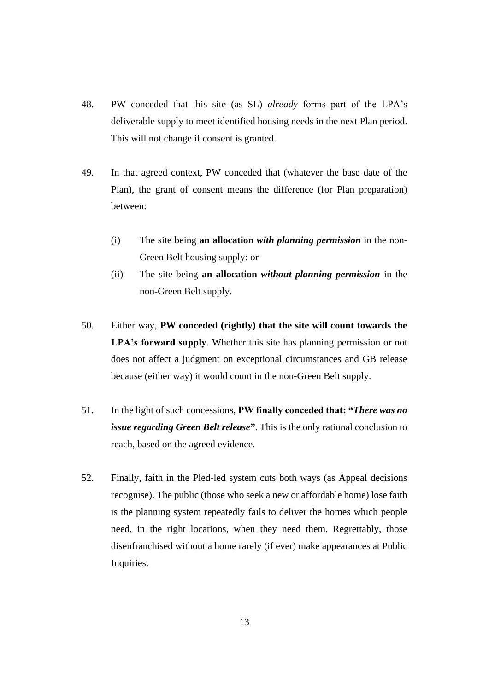- 48. PW conceded that this site (as SL) *already* forms part of the LPA's deliverable supply to meet identified housing needs in the next Plan period. This will not change if consent is granted.
- 49. In that agreed context, PW conceded that (whatever the base date of the Plan), the grant of consent means the difference (for Plan preparation) between:
	- (i) The site being **an allocation** *with planning permission* in the non-Green Belt housing supply: or
	- (ii) The site being **an allocation** *without planning permission* in the non-Green Belt supply.
- 50. Either way, **PW conceded (rightly) that the site will count towards the LPA's forward supply**. Whether this site has planning permission or not does not affect a judgment on exceptional circumstances and GB release because (either way) it would count in the non-Green Belt supply.
- 51. In the light of such concessions, **PW finally conceded that: "***There was no issue regarding Green Belt release***"**. This is the only rational conclusion to reach, based on the agreed evidence.
- 52. Finally, faith in the Pled-led system cuts both ways (as Appeal decisions recognise). The public (those who seek a new or affordable home) lose faith is the planning system repeatedly fails to deliver the homes which people need, in the right locations, when they need them. Regrettably, those disenfranchised without a home rarely (if ever) make appearances at Public Inquiries.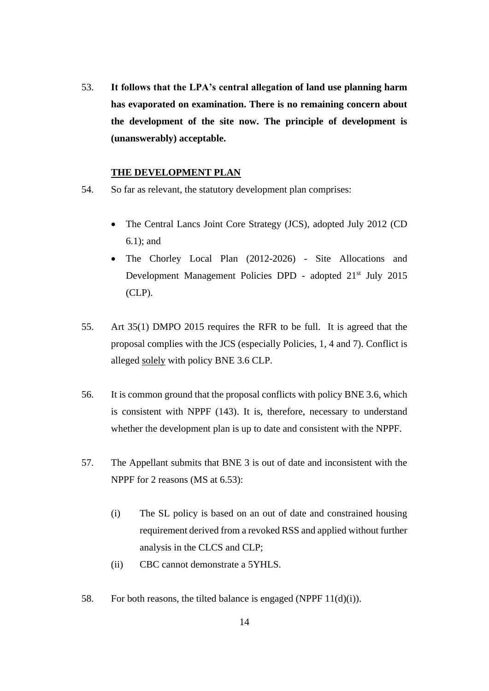53. **It follows that the LPA's central allegation of land use planning harm has evaporated on examination. There is no remaining concern about the development of the site now. The principle of development is (unanswerably) acceptable.**

#### **THE DEVELOPMENT PLAN**

- 54. So far as relevant, the statutory development plan comprises:
	- The Central Lancs Joint Core Strategy (JCS), adopted July 2012 (CD) 6.1); and
	- The Chorley Local Plan (2012-2026) Site Allocations and Development Management Policies DPD - adopted 21<sup>st</sup> July 2015 (CLP).
- 55. Art 35(1) DMPO 2015 requires the RFR to be full. It is agreed that the proposal complies with the JCS (especially Policies, 1, 4 and 7). Conflict is alleged solely with policy BNE 3.6 CLP.
- 56. It is common ground that the proposal conflicts with policy BNE 3.6, which is consistent with NPPF (143). It is, therefore, necessary to understand whether the development plan is up to date and consistent with the NPPF.
- 57. The Appellant submits that BNE 3 is out of date and inconsistent with the NPPF for 2 reasons (MS at 6.53):
	- (i) The SL policy is based on an out of date and constrained housing requirement derived from a revoked RSS and applied without further analysis in the CLCS and CLP;
	- (ii) CBC cannot demonstrate a 5YHLS.
- 58. For both reasons, the tilted balance is engaged (NPPF 11(d)(i)).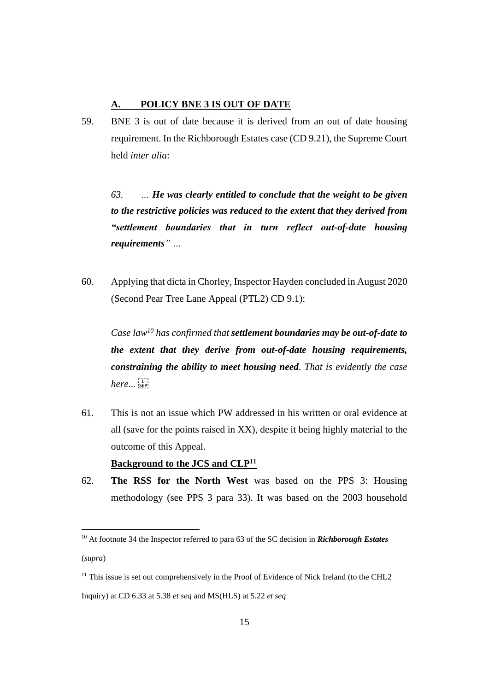# **A. POLICY BNE 3 IS OUT OF DATE**

59. BNE 3 is out of date because it is derived from an out of date housing requirement. In the Richborough Estates case (CD 9.21), the Supreme Court held *inter alia*:

*63. … He was clearly entitled to conclude that the weight to be given to the restrictive policies was reduced to the extent that they derived from "settlement boundaries that in turn reflect out-of-date housing requirements" …* 

60. Applying that dicta in Chorley, Inspector Hayden concluded in August 2020 (Second Pear Tree Lane Appeal (PTL2) CD 9.1):

*Case law<sup>10</sup> has confirmed that settlement boundaries may be out-of-date to the extent that they derive from out-of-date housing requirements, constraining the ability to meet housing need. That is evidently the case here...* 

- 61. This is not an issue which PW addressed in his written or oral evidence at all (save for the points raised in XX), despite it being highly material to the outcome of this Appeal. **Background to the JCS and CLP<sup>11</sup>**
- 62. **The RSS for the North West** was based on the PPS 3: Housing methodology (see PPS 3 para 33). It was based on the 2003 household

<sup>11</sup> This issue is set out comprehensively in the Proof of Evidence of Nick Ireland (to the CHL2 Inquiry) at CD 6.33 at 5.38 *et seq* and MS(HLS) at 5.22 *et seq*

<sup>10</sup> At footnote 34 the Inspector referred to para 63 of the SC decision in *Richborough Estates*  (*supra*)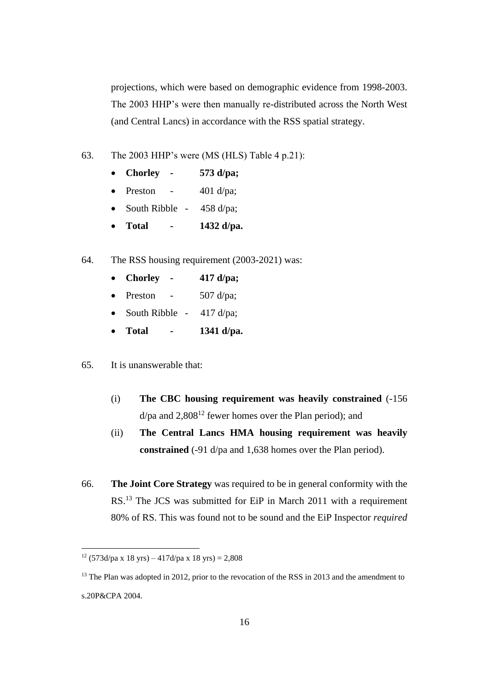projections, which were based on demographic evidence from 1998-2003. The 2003 HHP's were then manually re-distributed across the North West (and Central Lancs) in accordance with the RSS spatial strategy.

63. The 2003 HHP's were (MS (HLS) Table 4 p.21):

| $\bullet$ | <b>Chorley</b> | 573 d/pa; |
|-----------|----------------|-----------|
| $\bullet$ | Preston        | 401 d/pa; |

- South Ribble 458 d/pa;
- **Total - 1432 d/pa.**
- 64. The RSS housing requirement (2003-2021) was:
	- **Chorley - 417 d/pa;**
	- Preston  $507 \text{ d/pa}$ ;
	- South Ribble  $417 \frac{d}{pa}$ ;
	- **Total - 1341 d/pa.**
- 65. It is unanswerable that:
	- (i) **The CBC housing requirement was heavily constrained** (-156  $d$ /pa and 2,808<sup>12</sup> fewer homes over the Plan period); and
	- (ii) **The Central Lancs HMA housing requirement was heavily constrained** (-91 d/pa and 1,638 homes over the Plan period).
- 66. **The Joint Core Strategy** was required to be in general conformity with the RS.<sup>13</sup> The JCS was submitted for EiP in March 2011 with a requirement 80% of RS. This was found not to be sound and the EiP Inspector *required*

<sup>&</sup>lt;sup>12</sup> (573d/pa x 18 yrs) – 417d/pa x 18 yrs) = 2,808

<sup>&</sup>lt;sup>13</sup> The Plan was adopted in 2012, prior to the revocation of the RSS in 2013 and the amendment to s.20P&CPA 2004.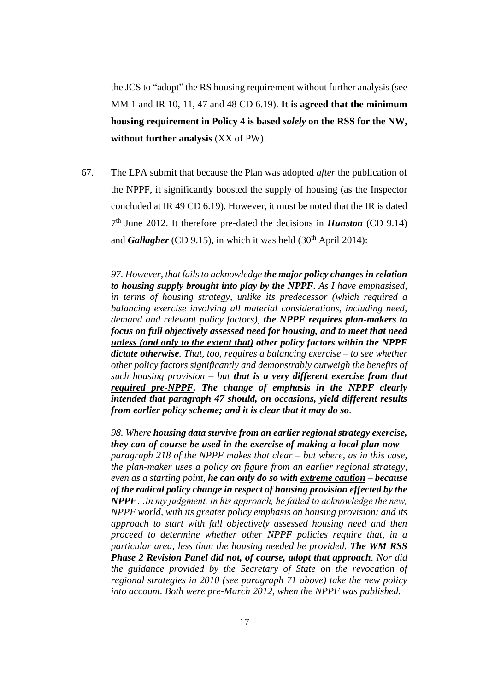the JCS to "adopt" the RS housing requirement without further analysis (see MM 1 and IR 10, 11, 47 and 48 CD 6.19). **It is agreed that the minimum housing requirement in Policy 4 is based** *solely* **on the RSS for the NW, without further analysis** (XX of PW).

67. The LPA submit that because the Plan was adopted *after* the publication of the NPPF, it significantly boosted the supply of housing (as the Inspector concluded at IR 49 CD 6.19). However, it must be noted that the IR is dated 7 th June 2012. It therefore pre-dated the decisions in *Hunston* (CD 9.14) and *Gallagher* (CD 9.15), in which it was held  $(30<sup>th</sup>$  April 2014):

*97. However, that fails to acknowledge the major policy changes in relation to housing supply brought into play by the NPPF. As I have emphasised, in terms of housing strategy, unlike its predecessor (which required a balancing exercise involving all material considerations, including need, demand and relevant policy factors), the NPPF requires plan-makers to focus on full objectively assessed need for housing, and to meet that need unless (and only to the extent that) other policy factors within the NPPF dictate otherwise. That, too, requires a balancing exercise – to see whether other policy factors significantly and demonstrably outweigh the benefits of such housing provision – but that is a very different exercise from that required pre-NPPF. The change of emphasis in the NPPF clearly intended that paragraph 47 should, on occasions, yield different results from earlier policy scheme; and it is clear that it may do so.*

*98. Where housing data survive from an earlier regional strategy exercise, they can of course be used in the exercise of making a local plan now – paragraph 218 of the NPPF makes that clear – but where, as in this case, the plan-maker uses a policy on figure from an earlier regional strategy, even as a starting point, he can only do so with extreme caution – because of the radical policy change in respect of housing provision effected by the NPPF…in my judgment, in his approach, he failed to acknowledge the new, NPPF world, with its greater policy emphasis on housing provision; and its approach to start with full objectively assessed housing need and then proceed to determine whether other NPPF policies require that, in a particular area, less than the housing needed be provided. The WM RSS Phase 2 Revision Panel did not, of course, adopt that approach. Nor did the guidance provided by the Secretary of State on the revocation of regional strategies in 2010 (see paragraph 71 above) take the new policy into account. Both were pre-March 2012, when the NPPF was published.*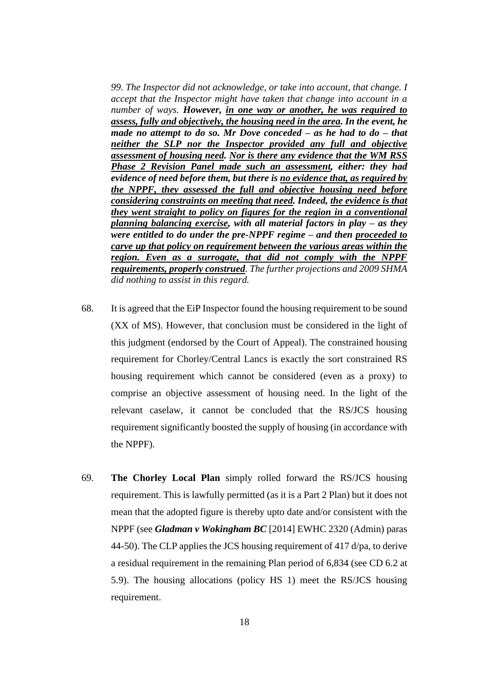*99. The Inspector did not acknowledge, or take into account, that change. I accept that the Inspector might have taken that change into account in a number of ways. However, in one way or another, he was required to assess, fully and objectively, the housing need in the area. In the event, he made no attempt to do so. Mr Dove conceded – as he had to do – that neither the SLP nor the Inspector provided any full and objective assessment of housing need. Nor is there any evidence that the WM RSS Phase 2 Revision Panel made such an assessment, either: they had evidence of need before them, but there is no evidence that, as required by the NPPF, they assessed the full and objective housing need before considering constraints on meeting that need. Indeed, the evidence is that they went straight to policy on figures for the region in a conventional planning balancing exercise, with all material factors in play – as they were entitled to do under the pre-NPPF regime – and then proceeded to carve up that policy on requirement between the various areas within the region. Even as a surrogate, that did not comply with the NPPF requirements, properly construed. The further projections and 2009 SHMA did nothing to assist in this regard.*

- 68. It is agreed that the EiP Inspector found the housing requirement to be sound (XX of MS). However, that conclusion must be considered in the light of this judgment (endorsed by the Court of Appeal). The constrained housing requirement for Chorley/Central Lancs is exactly the sort constrained RS housing requirement which cannot be considered (even as a proxy) to comprise an objective assessment of housing need. In the light of the relevant caselaw, it cannot be concluded that the RS/JCS housing requirement significantly boosted the supply of housing (in accordance with the NPPF).
- 69. **The Chorley Local Plan** simply rolled forward the RS/JCS housing requirement. This is lawfully permitted (as it is a Part 2 Plan) but it does not mean that the adopted figure is thereby upto date and/or consistent with the NPPF (see *Gladman v Wokingham BC* [2014] EWHC 2320 (Admin) paras 44-50). The CLP applies the JCS housing requirement of 417 d/pa, to derive a residual requirement in the remaining Plan period of 6,834 (see CD 6.2 at 5.9). The housing allocations (policy HS 1) meet the RS/JCS housing requirement.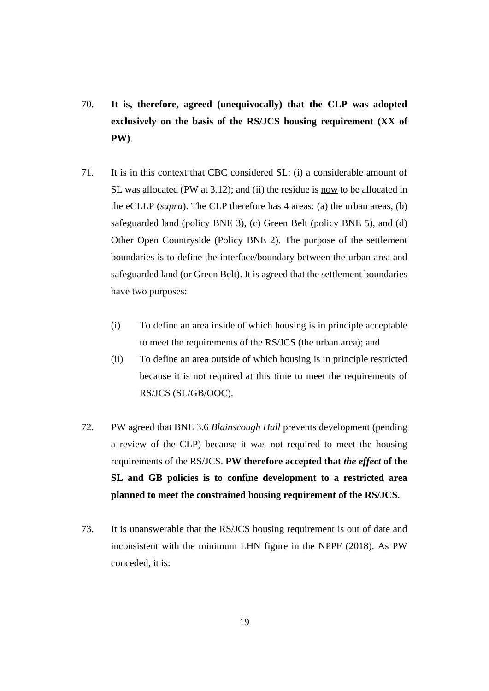- 70. **It is, therefore, agreed (unequivocally) that the CLP was adopted exclusively on the basis of the RS/JCS housing requirement (XX of PW)**.
- 71. It is in this context that CBC considered SL: (i) a considerable amount of SL was allocated (PW at 3.12); and (ii) the residue is now to be allocated in the eCLLP (*supra*). The CLP therefore has 4 areas: (a) the urban areas, (b) safeguarded land (policy BNE 3), (c) Green Belt (policy BNE 5), and (d) Other Open Countryside (Policy BNE 2). The purpose of the settlement boundaries is to define the interface/boundary between the urban area and safeguarded land (or Green Belt). It is agreed that the settlement boundaries have two purposes:
	- (i) To define an area inside of which housing is in principle acceptable to meet the requirements of the RS/JCS (the urban area); and
	- (ii) To define an area outside of which housing is in principle restricted because it is not required at this time to meet the requirements of RS/JCS (SL/GB/OOC).
- 72. PW agreed that BNE 3.6 *Blainscough Hall* prevents development (pending a review of the CLP) because it was not required to meet the housing requirements of the RS/JCS. **PW therefore accepted that** *the effect* **of the SL and GB policies is to confine development to a restricted area planned to meet the constrained housing requirement of the RS/JCS**.
- 73. It is unanswerable that the RS/JCS housing requirement is out of date and inconsistent with the minimum LHN figure in the NPPF (2018). As PW conceded, it is: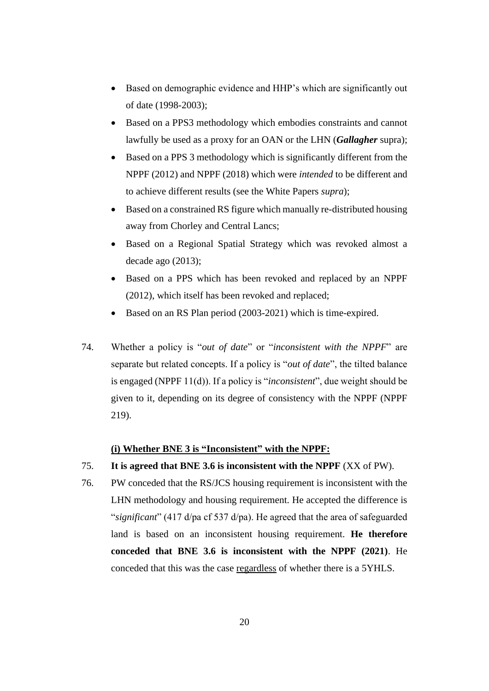- Based on demographic evidence and HHP's which are significantly out of date (1998-2003);
- Based on a PPS3 methodology which embodies constraints and cannot lawfully be used as a proxy for an OAN or the LHN (*Gallagher* supra);
- Based on a PPS 3 methodology which is significantly different from the NPPF (2012) and NPPF (2018) which were *intended* to be different and to achieve different results (see the White Papers *supra*);
- Based on a constrained RS figure which manually re-distributed housing away from Chorley and Central Lancs;
- Based on a Regional Spatial Strategy which was revoked almost a decade ago (2013);
- Based on a PPS which has been revoked and replaced by an NPPF (2012), which itself has been revoked and replaced;
- Based on an RS Plan period (2003-2021) which is time-expired.
- 74. Whether a policy is "*out of date*" or "*inconsistent with the NPPF*" are separate but related concepts. If a policy is "*out of date*", the tilted balance is engaged (NPPF 11(d)). If a policy is "*inconsistent*", due weight should be given to it, depending on its degree of consistency with the NPPF (NPPF 219).

# **(i) Whether BNE 3 is "Inconsistent" with the NPPF:**

- 75. **It is agreed that BNE 3.6 is inconsistent with the NPPF** (XX of PW).
- 76. PW conceded that the RS/JCS housing requirement is inconsistent with the LHN methodology and housing requirement. He accepted the difference is "*significant*" (417 d/pa cf 537 d/pa). He agreed that the area of safeguarded land is based on an inconsistent housing requirement. **He therefore conceded that BNE 3.6 is inconsistent with the NPPF (2021)**. He conceded that this was the case regardless of whether there is a 5YHLS.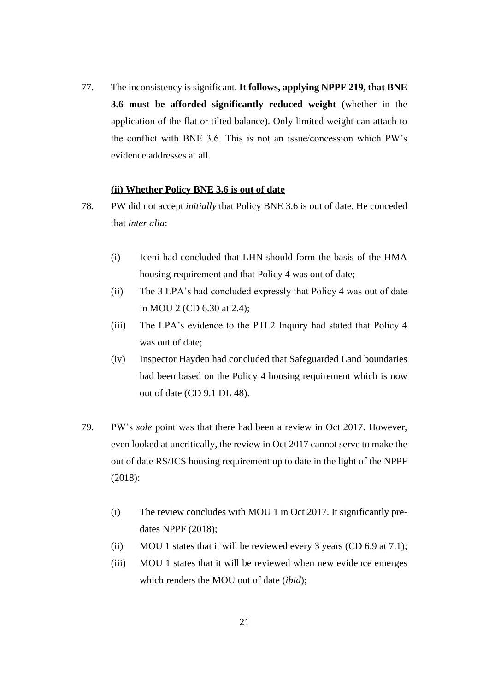77. The inconsistency is significant. **It follows, applying NPPF 219, that BNE 3.6 must be afforded significantly reduced weight** (whether in the application of the flat or tilted balance). Only limited weight can attach to the conflict with BNE 3.6. This is not an issue/concession which PW's evidence addresses at all.

#### **(ii) Whether Policy BNE 3.6 is out of date**

- 78. PW did not accept *initially* that Policy BNE 3.6 is out of date. He conceded that *inter alia*:
	- (i) Iceni had concluded that LHN should form the basis of the HMA housing requirement and that Policy 4 was out of date;
	- (ii) The 3 LPA's had concluded expressly that Policy 4 was out of date in MOU 2 (CD 6.30 at 2.4);
	- (iii) The LPA's evidence to the PTL2 Inquiry had stated that Policy 4 was out of date;
	- (iv) Inspector Hayden had concluded that Safeguarded Land boundaries had been based on the Policy 4 housing requirement which is now out of date (CD 9.1 DL 48).
- 79. PW's *sole* point was that there had been a review in Oct 2017. However, even looked at uncritically, the review in Oct 2017 cannot serve to make the out of date RS/JCS housing requirement up to date in the light of the NPPF (2018):
	- (i) The review concludes with MOU 1 in Oct 2017. It significantly predates NPPF (2018);
	- (ii) MOU 1 states that it will be reviewed every 3 years (CD  $6.9$  at 7.1);
	- (iii) MOU 1 states that it will be reviewed when new evidence emerges which renders the MOU out of date (*ibid*);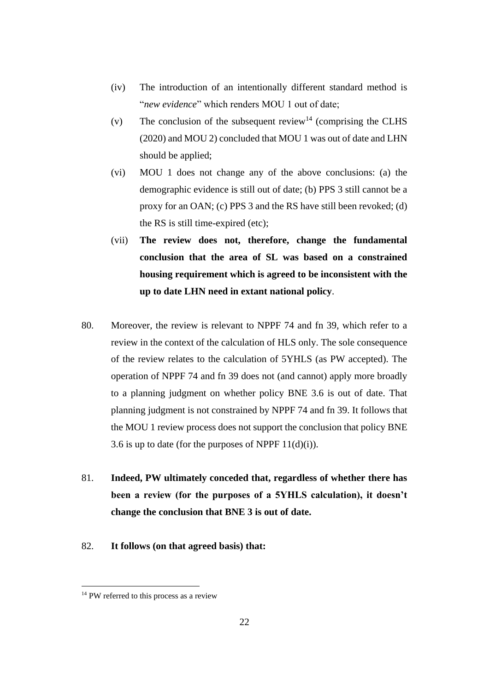- (iv) The introduction of an intentionally different standard method is "*new evidence*" which renders MOU 1 out of date;
- (v) The conclusion of the subsequent review<sup>14</sup> (comprising the CLHS (2020) and MOU 2) concluded that MOU 1 was out of date and LHN should be applied;
- (vi) MOU 1 does not change any of the above conclusions: (a) the demographic evidence is still out of date; (b) PPS 3 still cannot be a proxy for an OAN; (c) PPS 3 and the RS have still been revoked; (d) the RS is still time-expired (etc);
- (vii) **The review does not, therefore, change the fundamental conclusion that the area of SL was based on a constrained housing requirement which is agreed to be inconsistent with the up to date LHN need in extant national policy**.
- 80. Moreover, the review is relevant to NPPF 74 and fn 39, which refer to a review in the context of the calculation of HLS only. The sole consequence of the review relates to the calculation of 5YHLS (as PW accepted). The operation of NPPF 74 and fn 39 does not (and cannot) apply more broadly to a planning judgment on whether policy BNE 3.6 is out of date. That planning judgment is not constrained by NPPF 74 and fn 39. It follows that the MOU 1 review process does not support the conclusion that policy BNE 3.6 is up to date (for the purposes of NPPF  $11(d)(i)$ ).
- 81. **Indeed, PW ultimately conceded that, regardless of whether there has been a review (for the purposes of a 5YHLS calculation), it doesn't change the conclusion that BNE 3 is out of date.**
- 82. **It follows (on that agreed basis) that:**

<sup>&</sup>lt;sup>14</sup> PW referred to this process as a review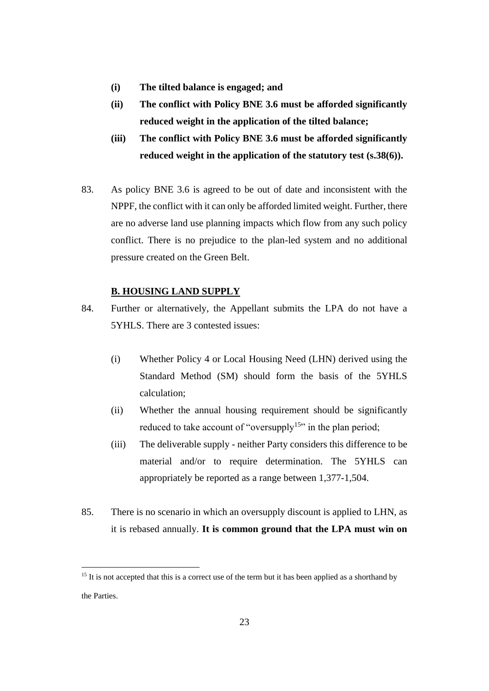- **(i) The tilted balance is engaged; and**
- **(ii) The conflict with Policy BNE 3.6 must be afforded significantly reduced weight in the application of the tilted balance;**
- **(iii) The conflict with Policy BNE 3.6 must be afforded significantly reduced weight in the application of the statutory test (s.38(6)).**
- 83. As policy BNE 3.6 is agreed to be out of date and inconsistent with the NPPF, the conflict with it can only be afforded limited weight. Further, there are no adverse land use planning impacts which flow from any such policy conflict. There is no prejudice to the plan-led system and no additional pressure created on the Green Belt.

# **B. HOUSING LAND SUPPLY**

- 84. Further or alternatively, the Appellant submits the LPA do not have a 5YHLS. There are 3 contested issues:
	- (i) Whether Policy 4 or Local Housing Need (LHN) derived using the Standard Method (SM) should form the basis of the 5YHLS calculation;
	- (ii) Whether the annual housing requirement should be significantly reduced to take account of "oversupply<sup>15</sup>" in the plan period;
	- (iii) The deliverable supply neither Party considers this difference to be material and/or to require determination. The 5YHLS can appropriately be reported as a range between 1,377-1,504.
- 85. There is no scenario in which an oversupply discount is applied to LHN, as it is rebased annually. **It is common ground that the LPA must win on**

<sup>&</sup>lt;sup>15</sup> It is not accepted that this is a correct use of the term but it has been applied as a shorthand by the Parties.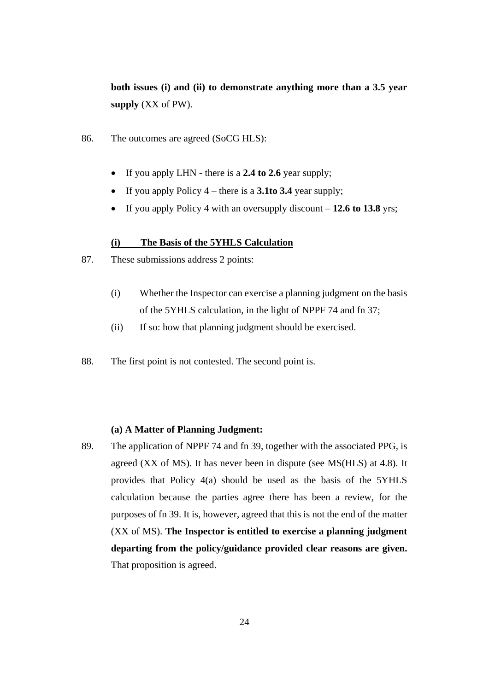**both issues (i) and (ii) to demonstrate anything more than a 3.5 year supply** (XX of PW).

- 86. The outcomes are agreed (SoCG HLS):
	- If you apply LHN there is a **2.4 to 2.6** year supply;
	- If you apply Policy 4 there is a **3.1to 3.4** year supply;
	- If you apply Policy 4 with an oversupply discount **12.6 to 13.8** yrs;

#### **(i) The Basis of the 5YHLS Calculation**

- 87. These submissions address 2 points:
	- (i) Whether the Inspector can exercise a planning judgment on the basis of the 5YHLS calculation, in the light of NPPF 74 and fn 37;
	- (ii) If so: how that planning judgment should be exercised.
- 88. The first point is not contested. The second point is.

## **(a) A Matter of Planning Judgment:**

89. The application of NPPF 74 and fn 39, together with the associated PPG, is agreed (XX of MS). It has never been in dispute (see MS(HLS) at 4.8). It provides that Policy 4(a) should be used as the basis of the 5YHLS calculation because the parties agree there has been a review, for the purposes of fn 39. It is, however, agreed that this is not the end of the matter (XX of MS). **The Inspector is entitled to exercise a planning judgment departing from the policy/guidance provided clear reasons are given.** That proposition is agreed.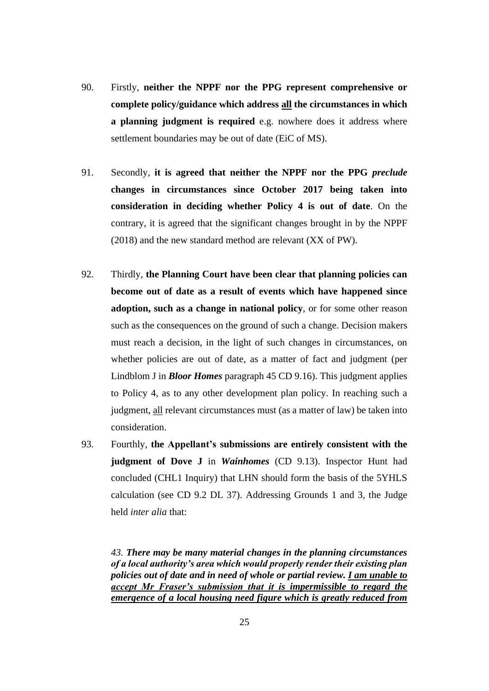- 90. Firstly, **neither the NPPF nor the PPG represent comprehensive or complete policy/guidance which address all the circumstances in which a planning judgment is required** e.g. nowhere does it address where settlement boundaries may be out of date (EiC of MS).
- 91. Secondly, **it is agreed that neither the NPPF nor the PPG** *preclude* **changes in circumstances since October 2017 being taken into consideration in deciding whether Policy 4 is out of date**. On the contrary, it is agreed that the significant changes brought in by the NPPF (2018) and the new standard method are relevant (XX of PW).
- 92. Thirdly, **the Planning Court have been clear that planning policies can become out of date as a result of events which have happened since adoption, such as a change in national policy**, or for some other reason such as the consequences on the ground of such a change. Decision makers must reach a decision, in the light of such changes in circumstances, on whether policies are out of date, as a matter of fact and judgment (per Lindblom J in *Bloor Homes* paragraph 45 CD 9.16). This judgment applies to Policy 4, as to any other development plan policy. In reaching such a judgment, all relevant circumstances must (as a matter of law) be taken into consideration.
- 93. Fourthly, **the Appellant's submissions are entirely consistent with the judgment of Dove J** in *Wainhomes* (CD 9.13). Inspector Hunt had concluded (CHL1 Inquiry) that LHN should form the basis of the 5YHLS calculation (see CD 9.2 DL 37). Addressing Grounds 1 and 3, the Judge held *inter alia* that:

*43. There may be many material changes in the planning circumstances of a local authority's area which would properly render their existing plan policies out of date and in need of whole or partial review. I am unable to accept Mr Fraser's submission that it is impermissible to regard the emergence of a local housing need figure which is greatly reduced from*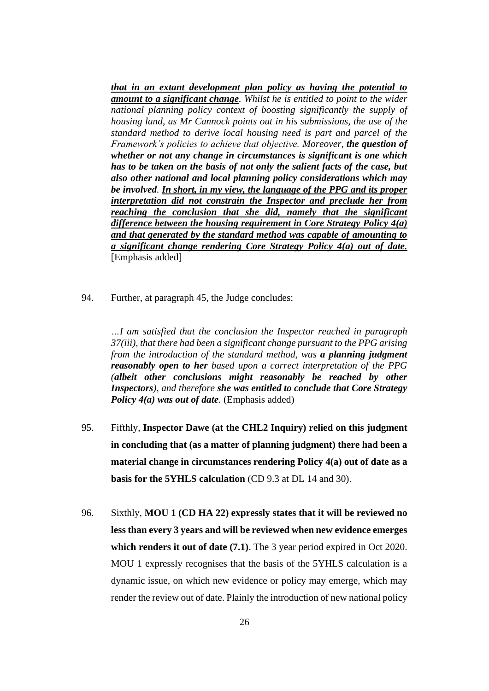*that in an extant development plan policy as having the potential to amount to a significant change. Whilst he is entitled to point to the wider national planning policy context of boosting significantly the supply of housing land, as Mr Cannock points out in his submissions, the use of the standard method to derive local housing need is part and parcel of the Framework's policies to achieve that objective. Moreover, the question of whether or not any change in circumstances is significant is one which has to be taken on the basis of not only the salient facts of the case, but also other national and local planning policy considerations which may be involved. In short, in my view, the language of the PPG and its proper interpretation did not constrain the Inspector and preclude her from reaching the conclusion that she did, namely that the significant difference between the housing requirement in Core Strategy Policy 4(a) and that generated by the standard method was capable of amounting to a significant change rendering Core Strategy Policy 4(a) out of date.*  [Emphasis added]

94. Further, at paragraph 45, the Judge concludes:

*…I am satisfied that the conclusion the Inspector reached in paragraph 37(iii), that there had been a significant change pursuant to the PPG arising from the introduction of the standard method, was a planning judgment reasonably open to her based upon a correct interpretation of the PPG (albeit other conclusions might reasonably be reached by other Inspectors), and therefore she was entitled to conclude that Core Strategy Policy 4(a) was out of date.* (Emphasis added)

- 95. Fifthly, **Inspector Dawe (at the CHL2 Inquiry) relied on this judgment in concluding that (as a matter of planning judgment) there had been a material change in circumstances rendering Policy 4(a) out of date as a basis for the 5YHLS calculation** (CD 9.3 at DL 14 and 30).
- 96. Sixthly, **MOU 1 (CD HA 22) expressly states that it will be reviewed no less than every 3 years and will be reviewed when new evidence emerges which renders it out of date (7.1)**. The 3 year period expired in Oct 2020. MOU 1 expressly recognises that the basis of the 5YHLS calculation is a dynamic issue, on which new evidence or policy may emerge, which may render the review out of date. Plainly the introduction of new national policy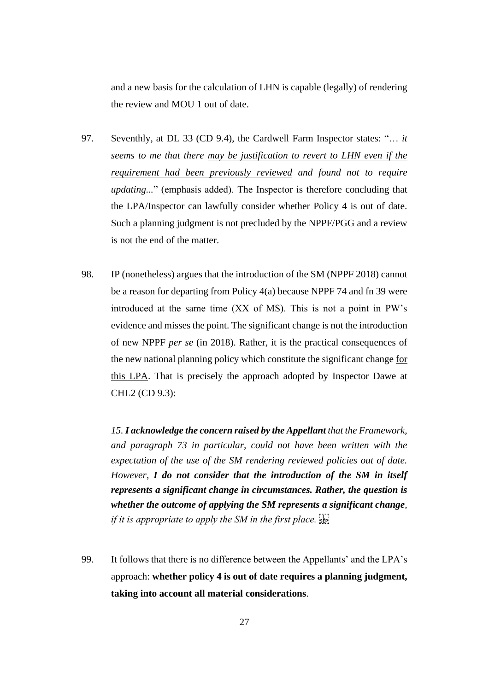and a new basis for the calculation of LHN is capable (legally) of rendering the review and MOU 1 out of date.

- 97. Seventhly, at DL 33 (CD 9.4), the Cardwell Farm Inspector states: "… *it seems to me that there may be justification to revert to LHN even if the requirement had been previously reviewed and found not to require updating...*" (emphasis added). The Inspector is therefore concluding that the LPA/Inspector can lawfully consider whether Policy 4 is out of date. Such a planning judgment is not precluded by the NPPF/PGG and a review is not the end of the matter.
- 98. IP (nonetheless) argues that the introduction of the SM (NPPF 2018) cannot be a reason for departing from Policy 4(a) because NPPF 74 and fn 39 were introduced at the same time (XX of MS). This is not a point in PW's evidence and misses the point. The significant change is not the introduction of new NPPF *per se* (in 2018). Rather, it is the practical consequences of the new national planning policy which constitute the significant change for this LPA. That is precisely the approach adopted by Inspector Dawe at CHL2 (CD 9.3):

*15. I acknowledge the concern raised by the Appellant that the Framework, and paragraph 73 in particular, could not have been written with the expectation of the use of the SM rendering reviewed policies out of date. However, I do not consider that the introduction of the SM in itself represents a significant change in circumstances. Rather, the question is whether the outcome of applying the SM represents a significant change, if it is appropriate to apply the SM in the first place.* 

99. It follows that there is no difference between the Appellants' and the LPA's approach: **whether policy 4 is out of date requires a planning judgment, taking into account all material considerations**.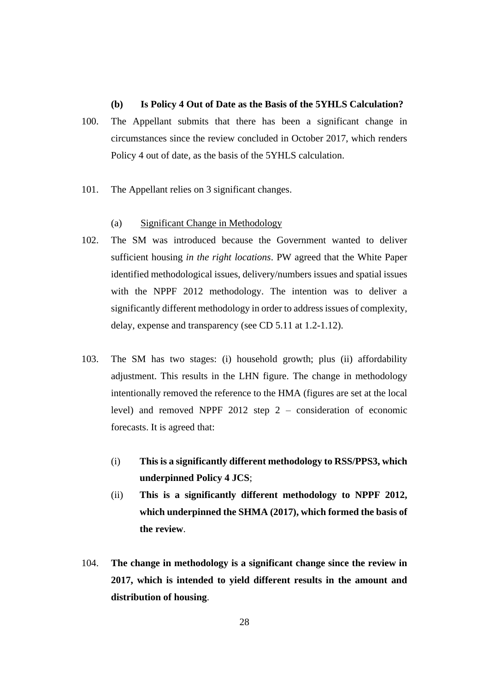## **(b) Is Policy 4 Out of Date as the Basis of the 5YHLS Calculation?**

- 100. The Appellant submits that there has been a significant change in circumstances since the review concluded in October 2017, which renders Policy 4 out of date, as the basis of the 5YHLS calculation.
- 101. The Appellant relies on 3 significant changes.

#### (a) Significant Change in Methodology

- 102. The SM was introduced because the Government wanted to deliver sufficient housing *in the right locations*. PW agreed that the White Paper identified methodological issues, delivery/numbers issues and spatial issues with the NPPF 2012 methodology. The intention was to deliver a significantly different methodology in order to address issues of complexity, delay, expense and transparency (see CD 5.11 at 1.2-1.12).
- 103. The SM has two stages: (i) household growth; plus (ii) affordability adjustment. This results in the LHN figure. The change in methodology intentionally removed the reference to the HMA (figures are set at the local level) and removed NPPF 2012 step 2 – consideration of economic forecasts. It is agreed that:
	- (i) **This is a significantly different methodology to RSS/PPS3, which underpinned Policy 4 JCS**;
	- (ii) **This is a significantly different methodology to NPPF 2012, which underpinned the SHMA (2017), which formed the basis of the review**.
- 104. **The change in methodology is a significant change since the review in 2017, which is intended to yield different results in the amount and distribution of housing**.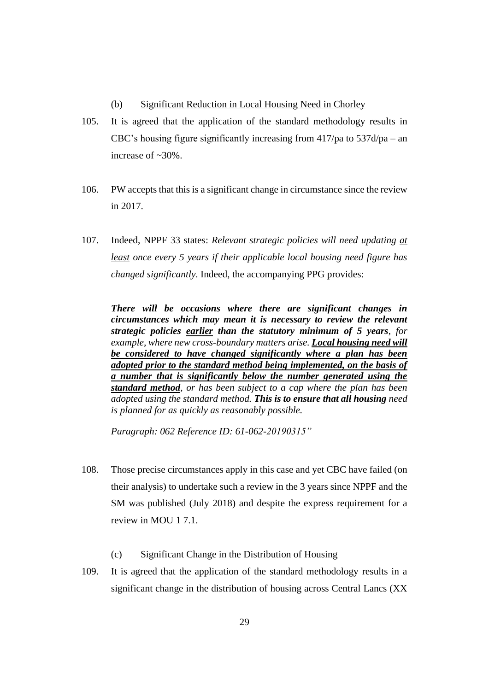- (b) Significant Reduction in Local Housing Need in Chorley
- 105. It is agreed that the application of the standard methodology results in CBC's housing figure significantly increasing from 417/pa to 537d/pa – an increase of ~30%.
- 106. PW accepts that this is a significant change in circumstance since the review in 2017.
- 107. Indeed, NPPF 33 states: *Relevant strategic policies will need updating at least once every 5 years if their applicable local housing need figure has changed significantly*. Indeed, the accompanying PPG provides:

*There will be occasions where there are significant changes in circumstances which may mean it is necessary to review the relevant strategic policies earlier than the statutory minimum of 5 years, for example, where new cross-boundary matters arise. Local housing need will be considered to have changed significantly where a plan has been adopted prior to the standard method being implemented, on the basis of a number that is significantly below the number generated using the standard method, or has been subject to a cap where the plan has been adopted using the standard method. This is to ensure that all housing need is planned for as quickly as reasonably possible.* 

*Paragraph: 062 Reference ID: 61-062-20190315"* 

- 108. Those precise circumstances apply in this case and yet CBC have failed (on their analysis) to undertake such a review in the 3 years since NPPF and the SM was published (July 2018) and despite the express requirement for a review in MOU 1 7.1.
	- (c) Significant Change in the Distribution of Housing
- 109. It is agreed that the application of the standard methodology results in a significant change in the distribution of housing across Central Lancs (XX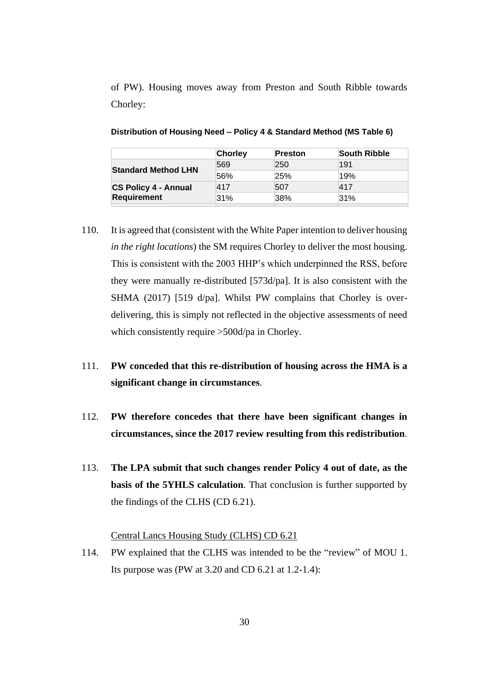of PW). Housing moves away from Preston and South Ribble towards Chorley:

|                             | <b>Chorley</b> | Preston | <b>South Ribble</b> |
|-----------------------------|----------------|---------|---------------------|
|                             | 569            | 250     | 191                 |
| <b>Standard Method LHN</b>  | 56%            | 25%     | 19%                 |
| <b>CS Policy 4 - Annual</b> | 417            | 507     | 417                 |
| <b>Requirement</b>          | 31%            | 38%     | 31%                 |

**Distribution of Housing Need – Policy 4 & Standard Method (MS Table 6)**

- 110. It is agreed that (consistent with the White Paper intention to deliver housing *in the right locations*) the SM requires Chorley to deliver the most housing. This is consistent with the 2003 HHP's which underpinned the RSS, before they were manually re-distributed [573d/pa]. It is also consistent with the SHMA (2017) [519 d/pa]. Whilst PW complains that Chorley is overdelivering, this is simply not reflected in the objective assessments of need which consistently require >500d/pa in Chorley.
- 111. **PW conceded that this re-distribution of housing across the HMA is a significant change in circumstances**.
- 112. **PW therefore concedes that there have been significant changes in circumstances, since the 2017 review resulting from this redistribution**.
- 113. **The LPA submit that such changes render Policy 4 out of date, as the basis of the 5YHLS calculation**. That conclusion is further supported by the findings of the CLHS (CD 6.21).

## Central Lancs Housing Study (CLHS) CD 6.21

114. PW explained that the CLHS was intended to be the "review" of MOU 1. Its purpose was (PW at 3.20 and CD 6.21 at 1.2-1.4):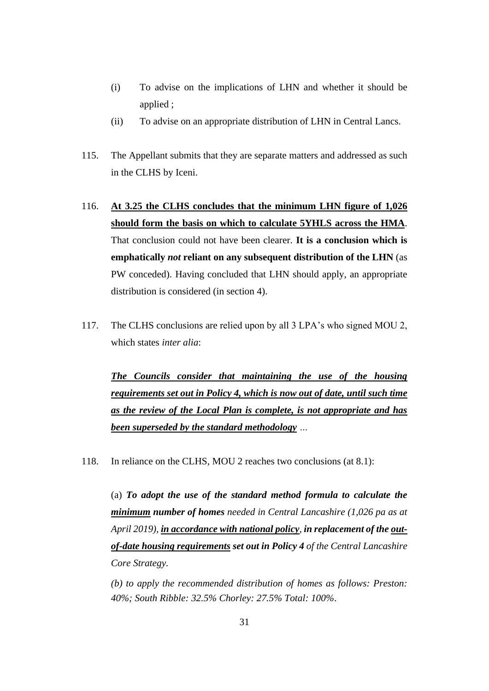- (i) To advise on the implications of LHN and whether it should be applied ;
- (ii) To advise on an appropriate distribution of LHN in Central Lancs.
- 115. The Appellant submits that they are separate matters and addressed as such in the CLHS by Iceni.
- 116. **At 3.25 the CLHS concludes that the minimum LHN figure of 1,026 should form the basis on which to calculate 5YHLS across the HMA**. That conclusion could not have been clearer. **It is a conclusion which is emphatically** *not* **reliant on any subsequent distribution of the LHN** (as PW conceded). Having concluded that LHN should apply, an appropriate distribution is considered (in section 4).
- 117. The CLHS conclusions are relied upon by all 3 LPA's who signed MOU 2, which states *inter alia*:

*The Councils consider that maintaining the use of the housing requirements set out in Policy 4, which is now out of date, until such time as the review of the Local Plan is complete, is not appropriate and has been superseded by the standard methodology …*

118. In reliance on the CLHS, MOU 2 reaches two conclusions (at 8.1):

(a) *To adopt the use of the standard method formula to calculate the minimum number of homes needed in Central Lancashire (1,026 pa as at April 2019), in accordance with national policy, in replacement of the outof-date housing requirements set out in Policy 4 of the Central Lancashire Core Strategy.* 

*(b) to apply the recommended distribution of homes as follows: Preston: 40%; South Ribble: 32.5% Chorley: 27.5% Total: 100%*.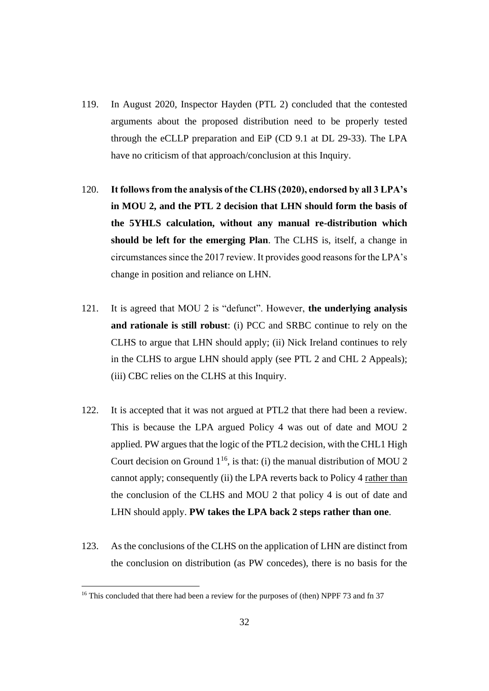- 119. In August 2020, Inspector Hayden (PTL 2) concluded that the contested arguments about the proposed distribution need to be properly tested through the eCLLP preparation and EiP (CD 9.1 at DL 29-33). The LPA have no criticism of that approach/conclusion at this Inquiry.
- 120. **It follows from the analysis of the CLHS (2020), endorsed by all 3 LPA's in MOU 2, and the PTL 2 decision that LHN should form the basis of the 5YHLS calculation, without any manual re-distribution which should be left for the emerging Plan**. The CLHS is, itself, a change in circumstances since the 2017 review. It provides good reasons for the LPA's change in position and reliance on LHN.
- 121. It is agreed that MOU 2 is "defunct". However, **the underlying analysis and rationale is still robust**: (i) PCC and SRBC continue to rely on the CLHS to argue that LHN should apply; (ii) Nick Ireland continues to rely in the CLHS to argue LHN should apply (see PTL 2 and CHL 2 Appeals); (iii) CBC relies on the CLHS at this Inquiry.
- 122. It is accepted that it was not argued at PTL2 that there had been a review. This is because the LPA argued Policy 4 was out of date and MOU 2 applied. PW argues that the logic of the PTL2 decision, with the CHL1 High Court decision on Ground  $1^{16}$ , is that: (i) the manual distribution of MOU 2 cannot apply; consequently (ii) the LPA reverts back to Policy 4 rather than the conclusion of the CLHS and MOU 2 that policy 4 is out of date and LHN should apply. **PW takes the LPA back 2 steps rather than one**.
- 123. As the conclusions of the CLHS on the application of LHN are distinct from the conclusion on distribution (as PW concedes), there is no basis for the

<sup>&</sup>lt;sup>16</sup> This concluded that there had been a review for the purposes of (then) NPPF 73 and fn 37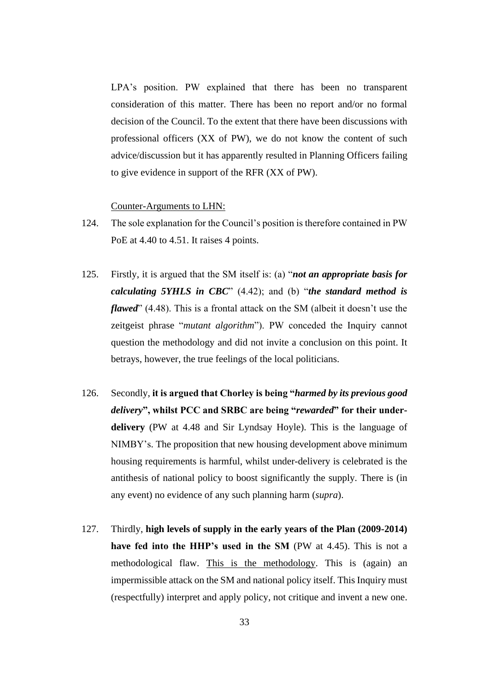LPA's position. PW explained that there has been no transparent consideration of this matter. There has been no report and/or no formal decision of the Council. To the extent that there have been discussions with professional officers (XX of PW), we do not know the content of such advice/discussion but it has apparently resulted in Planning Officers failing to give evidence in support of the RFR (XX of PW).

#### Counter-Arguments to LHN:

- 124. The sole explanation for the Council's position is therefore contained in PW PoE at 4.40 to 4.51. It raises 4 points.
- 125. Firstly, it is argued that the SM itself is: (a) "*not an appropriate basis for calculating 5YHLS in CBC*" (4.42); and (b) "*the standard method is flawed*" (4.48). This is a frontal attack on the SM (albeit it doesn't use the zeitgeist phrase "*mutant algorithm*"). PW conceded the Inquiry cannot question the methodology and did not invite a conclusion on this point. It betrays, however, the true feelings of the local politicians.
- 126. Secondly, **it is argued that Chorley is being "***harmed by its previous good delivery***", whilst PCC and SRBC are being "***rewarded***" for their underdelivery** (PW at 4.48 and Sir Lyndsay Hoyle). This is the language of NIMBY's. The proposition that new housing development above minimum housing requirements is harmful, whilst under-delivery is celebrated is the antithesis of national policy to boost significantly the supply. There is (in any event) no evidence of any such planning harm (*supra*).
- 127. Thirdly, **high levels of supply in the early years of the Plan (2009-2014) have fed into the HHP's used in the SM** (PW at 4.45). This is not a methodological flaw. This is the methodology. This is (again) an impermissible attack on the SM and national policy itself. This Inquiry must (respectfully) interpret and apply policy, not critique and invent a new one.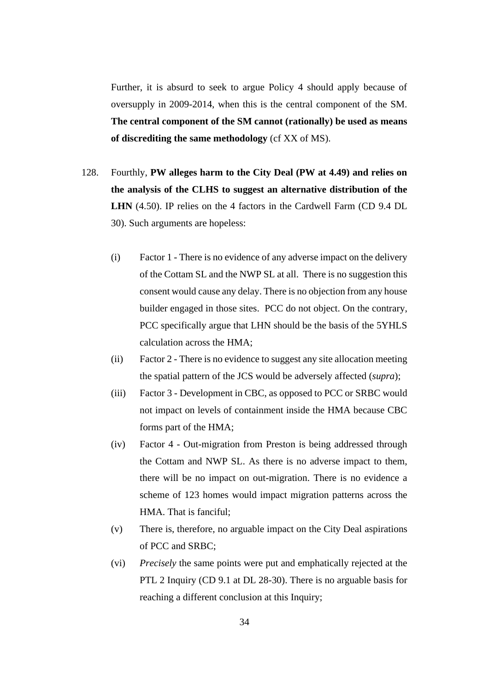Further, it is absurd to seek to argue Policy 4 should apply because of oversupply in 2009-2014, when this is the central component of the SM. **The central component of the SM cannot (rationally) be used as means of discrediting the same methodology** (cf XX of MS).

- 128. Fourthly, **PW alleges harm to the City Deal (PW at 4.49) and relies on the analysis of the CLHS to suggest an alternative distribution of the LHN** (4.50). IP relies on the 4 factors in the Cardwell Farm (CD 9.4 DL 30). Such arguments are hopeless:
	- (i) Factor 1 There is no evidence of any adverse impact on the delivery of the Cottam SL and the NWP SL at all. There is no suggestion this consent would cause any delay. There is no objection from any house builder engaged in those sites. PCC do not object. On the contrary, PCC specifically argue that LHN should be the basis of the 5YHLS calculation across the HMA;
	- (ii) Factor 2 There is no evidence to suggest any site allocation meeting the spatial pattern of the JCS would be adversely affected (*supra*);
	- (iii) Factor 3 Development in CBC, as opposed to PCC or SRBC would not impact on levels of containment inside the HMA because CBC forms part of the HMA;
	- (iv) Factor 4 Out-migration from Preston is being addressed through the Cottam and NWP SL. As there is no adverse impact to them, there will be no impact on out-migration. There is no evidence a scheme of 123 homes would impact migration patterns across the HMA. That is fanciful;
	- (v) There is, therefore, no arguable impact on the City Deal aspirations of PCC and SRBC;
	- (vi) *Precisely* the same points were put and emphatically rejected at the PTL 2 Inquiry (CD 9.1 at DL 28-30). There is no arguable basis for reaching a different conclusion at this Inquiry;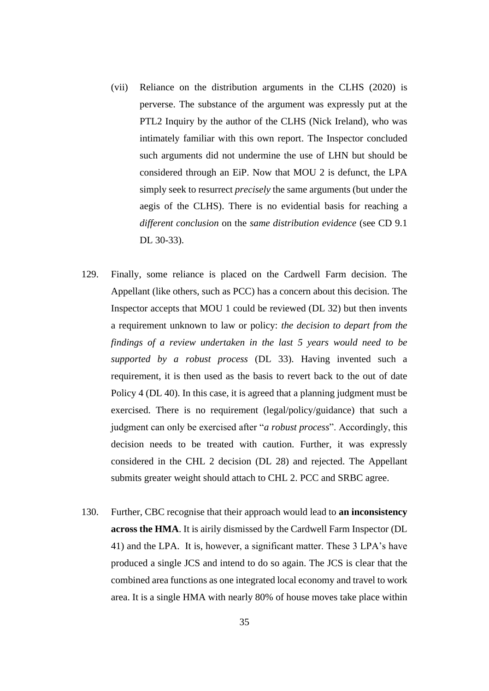- (vii) Reliance on the distribution arguments in the CLHS (2020) is perverse. The substance of the argument was expressly put at the PTL2 Inquiry by the author of the CLHS (Nick Ireland), who was intimately familiar with this own report. The Inspector concluded such arguments did not undermine the use of LHN but should be considered through an EiP. Now that MOU 2 is defunct, the LPA simply seek to resurrect *precisely* the same arguments (but under the aegis of the CLHS). There is no evidential basis for reaching a *different conclusion* on the *same distribution evidence* (see CD 9.1 DL 30-33).
- 129. Finally, some reliance is placed on the Cardwell Farm decision. The Appellant (like others, such as PCC) has a concern about this decision. The Inspector accepts that MOU 1 could be reviewed (DL 32) but then invents a requirement unknown to law or policy: *the decision to depart from the findings of a review undertaken in the last 5 years would need to be supported by a robust process* (DL 33). Having invented such a requirement, it is then used as the basis to revert back to the out of date Policy 4 (DL 40). In this case, it is agreed that a planning judgment must be exercised. There is no requirement (legal/policy/guidance) that such a judgment can only be exercised after "*a robust process*". Accordingly, this decision needs to be treated with caution. Further, it was expressly considered in the CHL 2 decision (DL 28) and rejected. The Appellant submits greater weight should attach to CHL 2. PCC and SRBC agree.
- 130. Further, CBC recognise that their approach would lead to **an inconsistency across the HMA**. It is airily dismissed by the Cardwell Farm Inspector (DL 41) and the LPA. It is, however, a significant matter. These 3 LPA's have produced a single JCS and intend to do so again. The JCS is clear that the combined area functions as one integrated local economy and travel to work area. It is a single HMA with nearly 80% of house moves take place within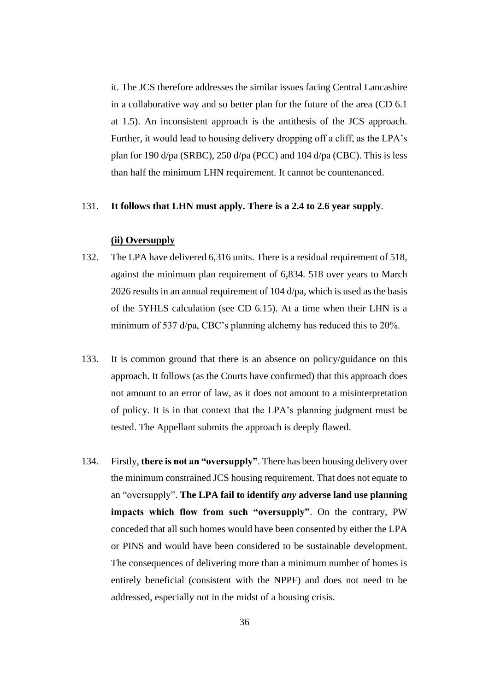it. The JCS therefore addresses the similar issues facing Central Lancashire in a collaborative way and so better plan for the future of the area (CD 6.1 at 1.5). An inconsistent approach is the antithesis of the JCS approach. Further, it would lead to housing delivery dropping off a cliff, as the LPA's plan for 190 d/pa (SRBC), 250 d/pa (PCC) and 104 d/pa (CBC). This is less than half the minimum LHN requirement. It cannot be countenanced.

#### 131. **It follows that LHN must apply. There is a 2.4 to 2.6 year supply**.

## **(ii) Oversupply**

- 132. The LPA have delivered 6,316 units. There is a residual requirement of 518, against the minimum plan requirement of 6,834. 518 over years to March 2026 results in an annual requirement of 104 d/pa, which is used as the basis of the 5YHLS calculation (see CD 6.15). At a time when their LHN is a minimum of 537 d/pa, CBC's planning alchemy has reduced this to 20%.
- 133. It is common ground that there is an absence on policy/guidance on this approach. It follows (as the Courts have confirmed) that this approach does not amount to an error of law, as it does not amount to a misinterpretation of policy. It is in that context that the LPA's planning judgment must be tested. The Appellant submits the approach is deeply flawed.
- 134. Firstly, **there is not an "oversupply"**. There has been housing delivery over the minimum constrained JCS housing requirement. That does not equate to an "oversupply". **The LPA fail to identify** *any* **adverse land use planning impacts which flow from such "oversupply"**. On the contrary, PW conceded that all such homes would have been consented by either the LPA or PINS and would have been considered to be sustainable development. The consequences of delivering more than a minimum number of homes is entirely beneficial (consistent with the NPPF) and does not need to be addressed, especially not in the midst of a housing crisis.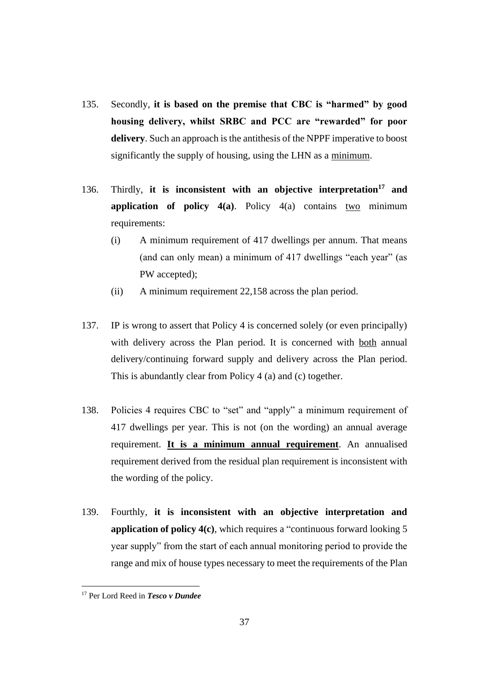- 135. Secondly, **it is based on the premise that CBC is "harmed" by good housing delivery, whilst SRBC and PCC are "rewarded" for poor delivery**. Such an approach is the antithesis of the NPPF imperative to boost significantly the supply of housing, using the LHN as a minimum.
- 136. Thirdly, **it is inconsistent with an objective interpretation<sup>17</sup> and application of policy 4(a)**. Policy 4(a) contains two minimum requirements:
	- (i) A minimum requirement of 417 dwellings per annum. That means (and can only mean) a minimum of 417 dwellings "each year" (as PW accepted);
	- (ii) A minimum requirement 22,158 across the plan period.
- 137. IP is wrong to assert that Policy 4 is concerned solely (or even principally) with delivery across the Plan period. It is concerned with both annual delivery/continuing forward supply and delivery across the Plan period. This is abundantly clear from Policy 4 (a) and (c) together.
- 138. Policies 4 requires CBC to "set" and "apply" a minimum requirement of 417 dwellings per year. This is not (on the wording) an annual average requirement. **It is a minimum annual requirement**. An annualised requirement derived from the residual plan requirement is inconsistent with the wording of the policy.
- 139. Fourthly, **it is inconsistent with an objective interpretation and application of policy 4(c)**, which requires a "continuous forward looking 5 year supply" from the start of each annual monitoring period to provide the range and mix of house types necessary to meet the requirements of the Plan

<sup>17</sup> Per Lord Reed in *Tesco v Dundee*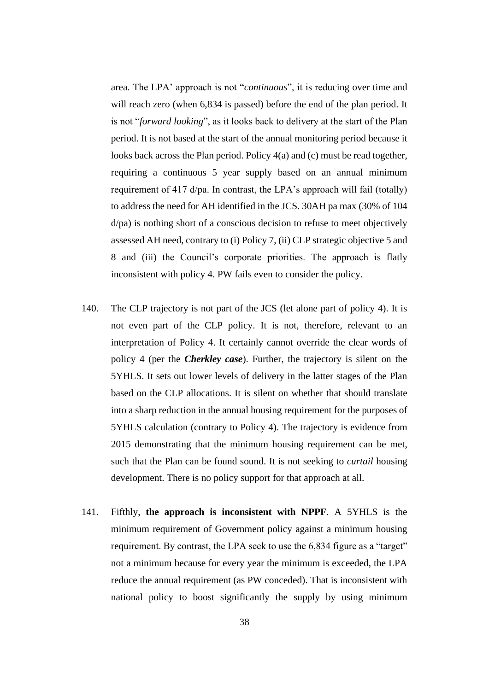area. The LPA' approach is not "*continuous*", it is reducing over time and will reach zero (when 6,834 is passed) before the end of the plan period. It is not "*forward looking*", as it looks back to delivery at the start of the Plan period. It is not based at the start of the annual monitoring period because it looks back across the Plan period. Policy 4(a) and (c) must be read together, requiring a continuous 5 year supply based on an annual minimum requirement of 417 d/pa. In contrast, the LPA's approach will fail (totally) to address the need for AH identified in the JCS. 30AH pa max (30% of 104 d/pa) is nothing short of a conscious decision to refuse to meet objectively assessed AH need, contrary to (i) Policy 7, (ii) CLP strategic objective 5 and 8 and (iii) the Council's corporate priorities. The approach is flatly inconsistent with policy 4. PW fails even to consider the policy.

- 140. The CLP trajectory is not part of the JCS (let alone part of policy 4). It is not even part of the CLP policy. It is not, therefore, relevant to an interpretation of Policy 4. It certainly cannot override the clear words of policy 4 (per the *Cherkley case*). Further, the trajectory is silent on the 5YHLS. It sets out lower levels of delivery in the latter stages of the Plan based on the CLP allocations. It is silent on whether that should translate into a sharp reduction in the annual housing requirement for the purposes of 5YHLS calculation (contrary to Policy 4). The trajectory is evidence from 2015 demonstrating that the minimum housing requirement can be met, such that the Plan can be found sound. It is not seeking to *curtail* housing development. There is no policy support for that approach at all.
- 141. Fifthly, **the approach is inconsistent with NPPF**. A 5YHLS is the minimum requirement of Government policy against a minimum housing requirement. By contrast, the LPA seek to use the 6,834 figure as a "target" not a minimum because for every year the minimum is exceeded, the LPA reduce the annual requirement (as PW conceded). That is inconsistent with national policy to boost significantly the supply by using minimum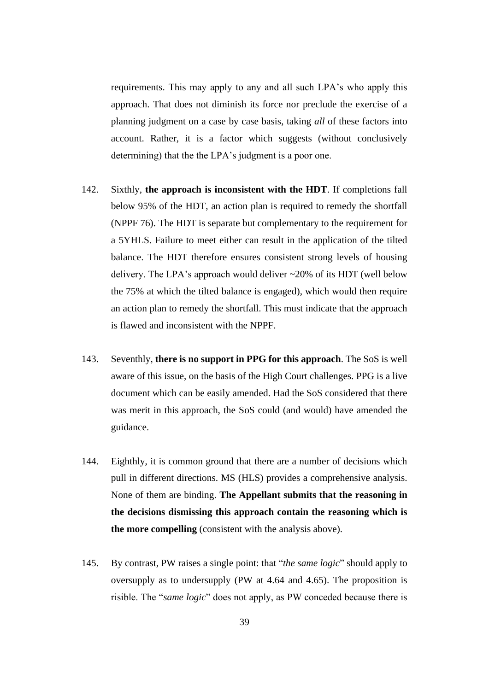requirements. This may apply to any and all such LPA's who apply this approach. That does not diminish its force nor preclude the exercise of a planning judgment on a case by case basis, taking *all* of these factors into account. Rather, it is a factor which suggests (without conclusively determining) that the the LPA's judgment is a poor one.

- 142. Sixthly, **the approach is inconsistent with the HDT**. If completions fall below 95% of the HDT, an action plan is required to remedy the shortfall (NPPF 76). The HDT is separate but complementary to the requirement for a 5YHLS. Failure to meet either can result in the application of the tilted balance. The HDT therefore ensures consistent strong levels of housing delivery. The LPA's approach would deliver ~20% of its HDT (well below the 75% at which the tilted balance is engaged), which would then require an action plan to remedy the shortfall. This must indicate that the approach is flawed and inconsistent with the NPPF.
- 143. Seventhly, **there is no support in PPG for this approach**. The SoS is well aware of this issue, on the basis of the High Court challenges. PPG is a live document which can be easily amended. Had the SoS considered that there was merit in this approach, the SoS could (and would) have amended the guidance.
- 144. Eighthly, it is common ground that there are a number of decisions which pull in different directions. MS (HLS) provides a comprehensive analysis. None of them are binding. **The Appellant submits that the reasoning in the decisions dismissing this approach contain the reasoning which is the more compelling** (consistent with the analysis above).
- 145. By contrast, PW raises a single point: that "*the same logic*" should apply to oversupply as to undersupply (PW at 4.64 and 4.65). The proposition is risible. The "*same logic*" does not apply, as PW conceded because there is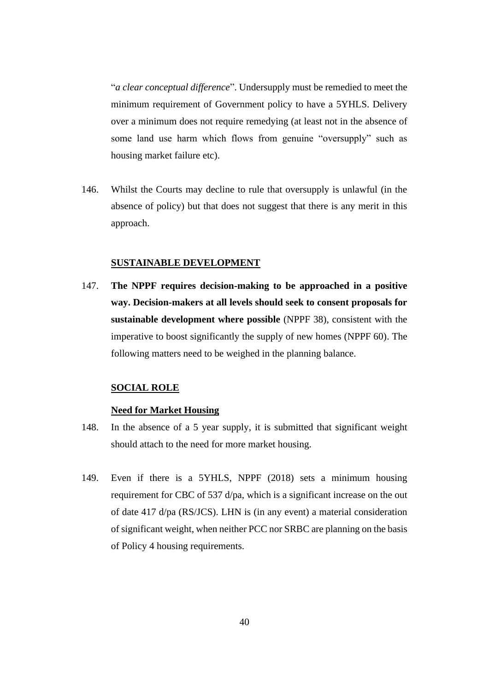"*a clear conceptual difference*". Undersupply must be remedied to meet the minimum requirement of Government policy to have a 5YHLS. Delivery over a minimum does not require remedying (at least not in the absence of some land use harm which flows from genuine "oversupply" such as housing market failure etc).

146. Whilst the Courts may decline to rule that oversupply is unlawful (in the absence of policy) but that does not suggest that there is any merit in this approach.

#### **SUSTAINABLE DEVELOPMENT**

147. **The NPPF requires decision-making to be approached in a positive way. Decision-makers at all levels should seek to consent proposals for sustainable development where possible** (NPPF 38), consistent with the imperative to boost significantly the supply of new homes (NPPF 60). The following matters need to be weighed in the planning balance.

#### **SOCIAL ROLE**

#### **Need for Market Housing**

- 148. In the absence of a 5 year supply, it is submitted that significant weight should attach to the need for more market housing.
- 149. Even if there is a 5YHLS, NPPF (2018) sets a minimum housing requirement for CBC of 537 d/pa, which is a significant increase on the out of date 417 d/pa (RS/JCS). LHN is (in any event) a material consideration of significant weight, when neither PCC nor SRBC are planning on the basis of Policy 4 housing requirements.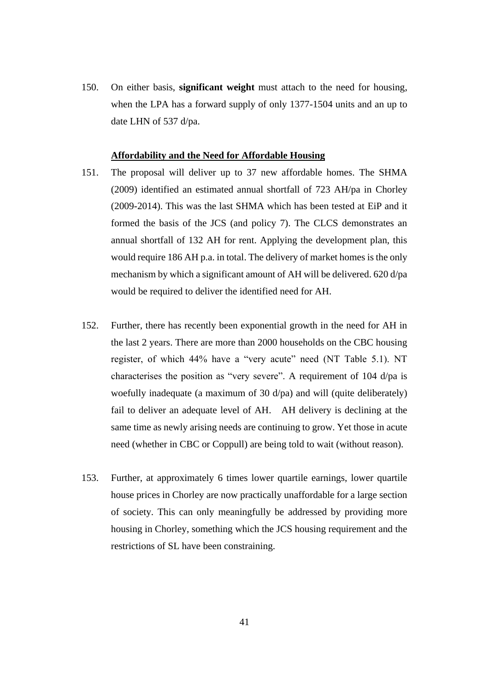150. On either basis, **significant weight** must attach to the need for housing, when the LPA has a forward supply of only 1377-1504 units and an up to date LHN of 537 d/pa.

#### **Affordability and the Need for Affordable Housing**

- 151. The proposal will deliver up to 37 new affordable homes. The SHMA (2009) identified an estimated annual shortfall of 723 AH/pa in Chorley (2009-2014). This was the last SHMA which has been tested at EiP and it formed the basis of the JCS (and policy 7). The CLCS demonstrates an annual shortfall of 132 AH for rent. Applying the development plan, this would require 186 AH p.a. in total. The delivery of market homes is the only mechanism by which a significant amount of AH will be delivered. 620 d/pa would be required to deliver the identified need for AH.
- 152. Further, there has recently been exponential growth in the need for AH in the last 2 years. There are more than 2000 households on the CBC housing register, of which 44% have a "very acute" need (NT Table 5.1). NT characterises the position as "very severe". A requirement of 104 d/pa is woefully inadequate (a maximum of 30 d/pa) and will (quite deliberately) fail to deliver an adequate level of AH. AH delivery is declining at the same time as newly arising needs are continuing to grow. Yet those in acute need (whether in CBC or Coppull) are being told to wait (without reason).
- 153. Further, at approximately 6 times lower quartile earnings, lower quartile house prices in Chorley are now practically unaffordable for a large section of society. This can only meaningfully be addressed by providing more housing in Chorley, something which the JCS housing requirement and the restrictions of SL have been constraining.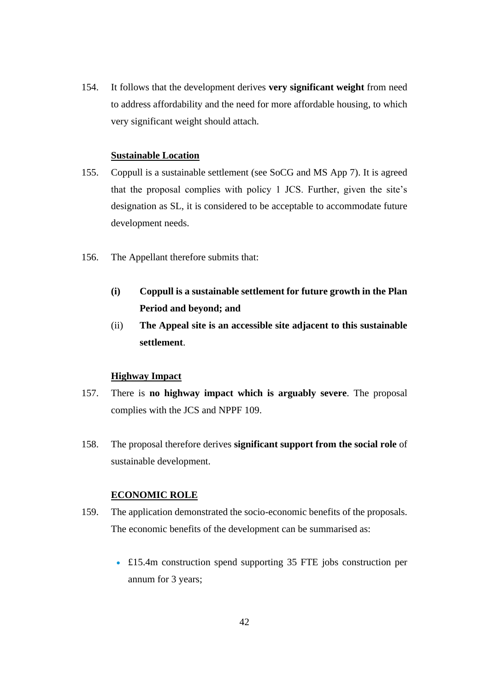154. It follows that the development derives **very significant weight** from need to address affordability and the need for more affordable housing, to which very significant weight should attach.

#### **Sustainable Location**

- 155. Coppull is a sustainable settlement (see SoCG and MS App 7). It is agreed that the proposal complies with policy 1 JCS. Further, given the site's designation as SL, it is considered to be acceptable to accommodate future development needs.
- 156. The Appellant therefore submits that:
	- **(i) Coppull is a sustainable settlement for future growth in the Plan Period and beyond; and**
	- (ii) **The Appeal site is an accessible site adjacent to this sustainable settlement**.

# **Highway Impact**

- 157. There is **no highway impact which is arguably severe**. The proposal complies with the JCS and NPPF 109.
- 158. The proposal therefore derives **significant support from the social role** of sustainable development.

#### **ECONOMIC ROLE**

- 159. The application demonstrated the socio-economic benefits of the proposals. The economic benefits of the development can be summarised as:
	- £15.4m construction spend supporting 35 FTE jobs construction per annum for 3 years;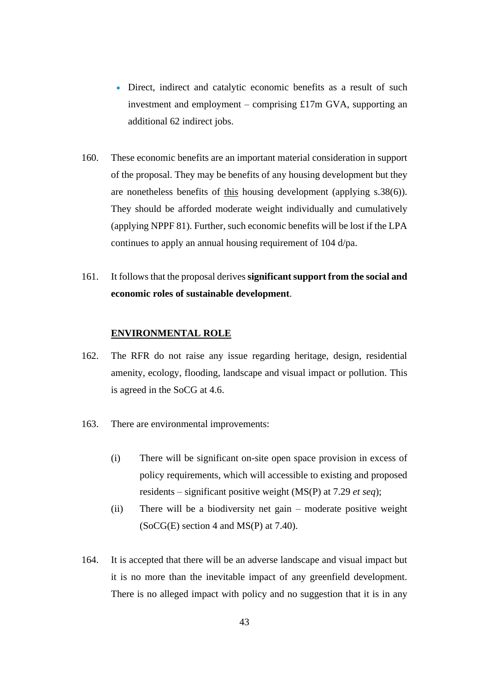- Direct, indirect and catalytic economic benefits as a result of such investment and employment – comprising £17m GVA, supporting an additional 62 indirect jobs.
- 160. These economic benefits are an important material consideration in support of the proposal. They may be benefits of any housing development but they are nonetheless benefits of this housing development (applying s.38(6)). They should be afforded moderate weight individually and cumulatively (applying NPPF 81). Further, such economic benefits will be lost if the LPA continues to apply an annual housing requirement of 104 d/pa.
- 161. It follows that the proposal derives **significant support from the social and economic roles of sustainable development**.

#### **ENVIRONMENTAL ROLE**

- 162. The RFR do not raise any issue regarding heritage, design, residential amenity, ecology, flooding, landscape and visual impact or pollution. This is agreed in the SoCG at 4.6.
- 163. There are environmental improvements:
	- (i) There will be significant on-site open space provision in excess of policy requirements, which will accessible to existing and proposed residents – significant positive weight (MS(P) at 7.29 *et seq*);
	- (ii) There will be a biodiversity net gain moderate positive weight  $(SoCG(E)$  section 4 and  $MS(P)$  at 7.40).
- 164. It is accepted that there will be an adverse landscape and visual impact but it is no more than the inevitable impact of any greenfield development. There is no alleged impact with policy and no suggestion that it is in any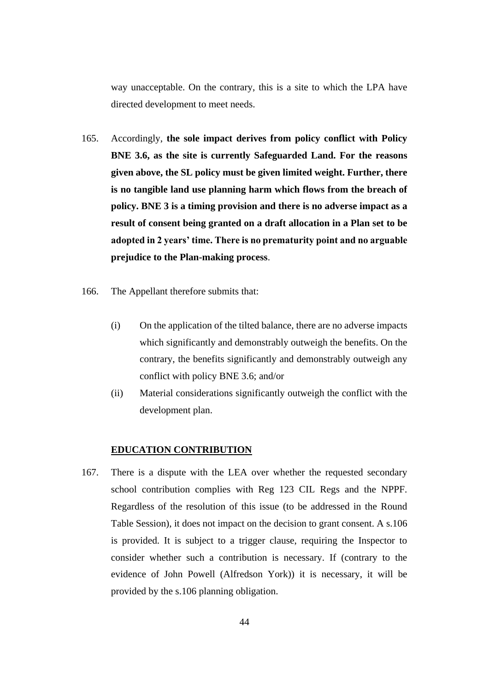way unacceptable. On the contrary, this is a site to which the LPA have directed development to meet needs.

- 165. Accordingly, **the sole impact derives from policy conflict with Policy BNE 3.6, as the site is currently Safeguarded Land. For the reasons given above, the SL policy must be given limited weight. Further, there is no tangible land use planning harm which flows from the breach of policy. BNE 3 is a timing provision and there is no adverse impact as a result of consent being granted on a draft allocation in a Plan set to be adopted in 2 years' time. There is no prematurity point and no arguable prejudice to the Plan-making process**.
- 166. The Appellant therefore submits that:
	- (i) On the application of the tilted balance, there are no adverse impacts which significantly and demonstrably outweigh the benefits. On the contrary, the benefits significantly and demonstrably outweigh any conflict with policy BNE 3.6; and/or
	- (ii) Material considerations significantly outweigh the conflict with the development plan.

#### **EDUCATION CONTRIBUTION**

167. There is a dispute with the LEA over whether the requested secondary school contribution complies with Reg 123 CIL Regs and the NPPF. Regardless of the resolution of this issue (to be addressed in the Round Table Session), it does not impact on the decision to grant consent. A s.106 is provided. It is subject to a trigger clause, requiring the Inspector to consider whether such a contribution is necessary. If (contrary to the evidence of John Powell (Alfredson York)) it is necessary, it will be provided by the s.106 planning obligation.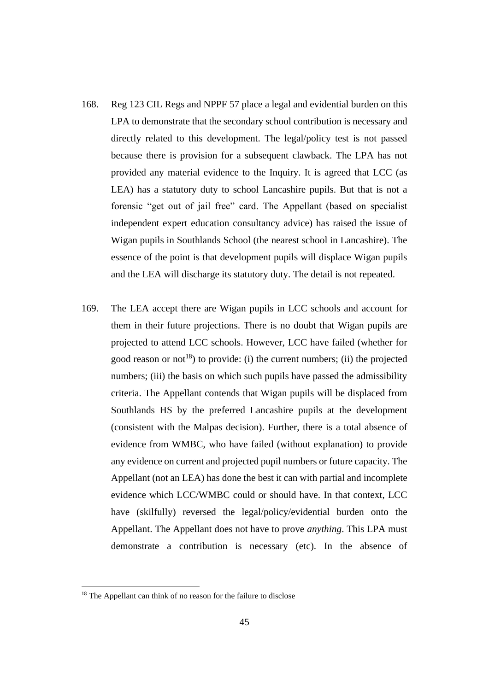- 168. Reg 123 CIL Regs and NPPF 57 place a legal and evidential burden on this LPA to demonstrate that the secondary school contribution is necessary and directly related to this development. The legal/policy test is not passed because there is provision for a subsequent clawback. The LPA has not provided any material evidence to the Inquiry. It is agreed that LCC (as LEA) has a statutory duty to school Lancashire pupils. But that is not a forensic "get out of jail free" card. The Appellant (based on specialist independent expert education consultancy advice) has raised the issue of Wigan pupils in Southlands School (the nearest school in Lancashire). The essence of the point is that development pupils will displace Wigan pupils and the LEA will discharge its statutory duty. The detail is not repeated.
- 169. The LEA accept there are Wigan pupils in LCC schools and account for them in their future projections. There is no doubt that Wigan pupils are projected to attend LCC schools. However, LCC have failed (whether for good reason or not<sup>18</sup>) to provide: (i) the current numbers; (ii) the projected numbers; (iii) the basis on which such pupils have passed the admissibility criteria. The Appellant contends that Wigan pupils will be displaced from Southlands HS by the preferred Lancashire pupils at the development (consistent with the Malpas decision). Further, there is a total absence of evidence from WMBC, who have failed (without explanation) to provide any evidence on current and projected pupil numbers or future capacity. The Appellant (not an LEA) has done the best it can with partial and incomplete evidence which LCC/WMBC could or should have. In that context, LCC have (skilfully) reversed the legal/policy/evidential burden onto the Appellant. The Appellant does not have to prove *anything*. This LPA must demonstrate a contribution is necessary (etc). In the absence of

<sup>&</sup>lt;sup>18</sup> The Appellant can think of no reason for the failure to disclose